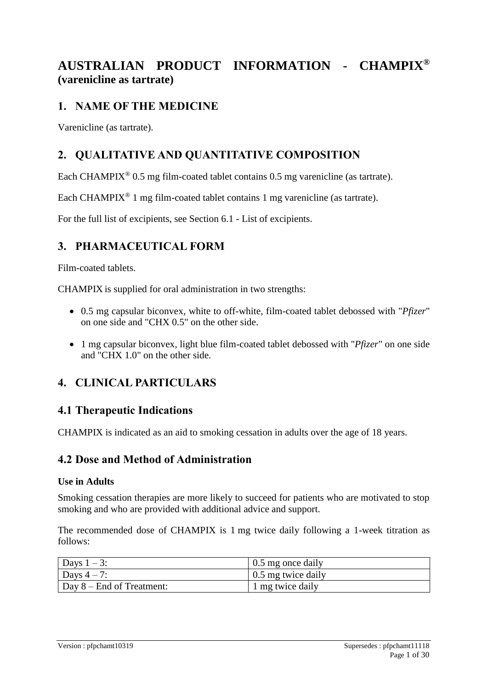# **AUSTRALIAN PRODUCT INFORMATION - CHAMPIX® (varenicline as tartrate)**

## **1. NAME OF THE MEDICINE**

Varenicline (as tartrate).

## **2. QUALITATIVE AND QUANTITATIVE COMPOSITION**

Each CHAMPIX<sup>®</sup> 0.5 mg film-coated tablet contains 0.5 mg varenicline (as tartrate).

Each CHAMPIX® 1 mg film-coated tablet contains 1 mg varenicline (as tartrate).

For the full list of excipients, see Section 6.1 - List of excipients.

## **3. PHARMACEUTICAL FORM**

Film-coated tablets.

CHAMPIX is supplied for oral administration in two strengths:

- 0.5 mg capsular biconvex, white to off-white, film-coated tablet debossed with "*Pfizer*" on one side and "CHX 0.5" on the other side.
- 1 mg capsular biconvex, light blue film-coated tablet debossed with "*Pfizer*" on one side and "CHX 1.0" on the other side.

## **4. CLINICAL PARTICULARS**

### **4.1 Therapeutic Indications**

CHAMPIX is indicated as an aid to smoking cessation in adults over the age of 18 years.

### **4.2 Dose and Method of Administration**

#### **Use in Adults**

Smoking cessation therapies are more likely to succeed for patients who are motivated to stop smoking and who are provided with additional advice and support.

The recommended dose of CHAMPIX is 1 mg twice daily following a 1-week titration as follows:

| Days $1-3$ :                      | 0.5 mg once daily  |
|-----------------------------------|--------------------|
| Days $4-7$ :                      | 0.5 mg twice daily |
| $\vert$ Day 8 – End of Treatment: | 1 mg twice daily   |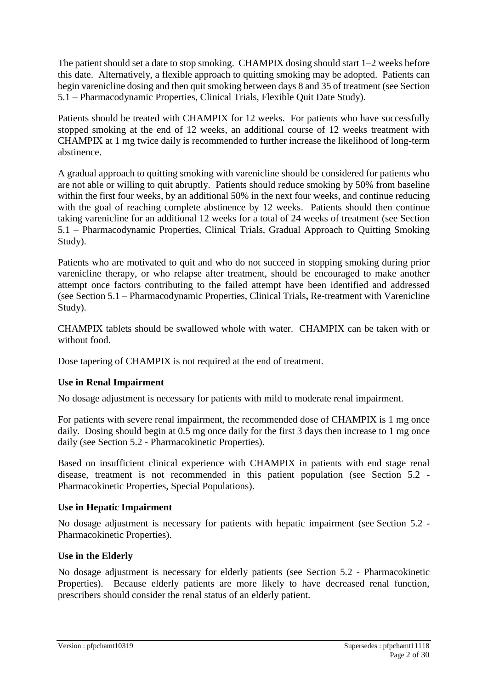The patient should set a date to stop smoking. CHAMPIX dosing should start 1–2 weeks before this date. Alternatively, a flexible approach to quitting smoking may be adopted. Patients can begin varenicline dosing and then quit smoking between days 8 and 35 of treatment (see Section 5.1 – Pharmacodynamic Properties, Clinical Trials, Flexible Quit Date Study).

Patients should be treated with CHAMPIX for 12 weeks. For patients who have successfully stopped smoking at the end of 12 weeks, an additional course of 12 weeks treatment with CHAMPIX at 1 mg twice daily is recommended to further increase the likelihood of long-term abstinence.

A gradual approach to quitting smoking with varenicline should be considered for patients who are not able or willing to quit abruptly. Patients should reduce smoking by 50% from baseline within the first four weeks, by an additional 50% in the next four weeks, and continue reducing with the goal of reaching complete abstinence by 12 weeks. Patients should then continue taking varenicline for an additional 12 weeks for a total of 24 weeks of treatment (see Section 5.1 – Pharmacodynamic Properties, Clinical Trials, Gradual Approach to Quitting Smoking Study).

Patients who are motivated to quit and who do not succeed in stopping smoking during prior varenicline therapy, or who relapse after treatment, should be encouraged to make another attempt once factors contributing to the failed attempt have been identified and addressed (see Section 5.1 – Pharmacodynamic Properties, Clinical Trials**,** Re-treatment with Varenicline Study).

CHAMPIX tablets should be swallowed whole with water. CHAMPIX can be taken with or without food.

Dose tapering of CHAMPIX is not required at the end of treatment.

#### **Use in Renal Impairment**

No dosage adjustment is necessary for patients with mild to moderate renal impairment.

For patients with severe renal impairment, the recommended dose of CHAMPIX is 1 mg once daily. Dosing should begin at 0.5 mg once daily for the first 3 days then increase to 1 mg once daily (see Section 5.2 - Pharmacokinetic Properties).

Based on insufficient clinical experience with CHAMPIX in patients with end stage renal disease, treatment is not recommended in this patient population (see Section 5.2 - Pharmacokinetic Properties, Special Populations).

#### **Use in Hepatic Impairment**

No dosage adjustment is necessary for patients with hepatic impairment (see Section 5.2 - Pharmacokinetic Properties).

#### **Use in the Elderly**

No dosage adjustment is necessary for elderly patients (see Section 5.2 - Pharmacokinetic Properties). Because elderly patients are more likely to have decreased renal function, prescribers should consider the renal status of an elderly patient.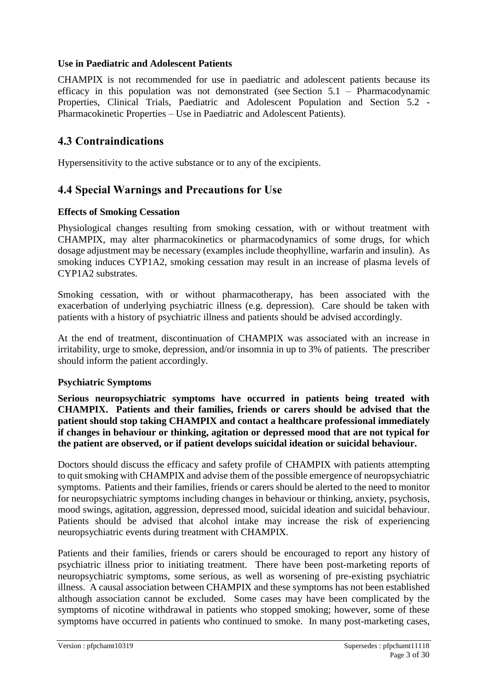### **Use in Paediatric and Adolescent Patients**

CHAMPIX is not recommended for use in paediatric and adolescent patients because its efficacy in this population was not demonstrated (see Section 5.1 – Pharmacodynamic Properties, Clinical Trials, Paediatric and Adolescent Population and Section 5.2 - Pharmacokinetic Properties – Use in Paediatric and Adolescent Patients).

### **4.3 Contraindications**

Hypersensitivity to the active substance or to any of the excipients.

### **4.4 Special Warnings and Precautions for Use**

#### **Effects of Smoking Cessation**

Physiological changes resulting from smoking cessation, with or without treatment with CHAMPIX, may alter pharmacokinetics or pharmacodynamics of some drugs, for which dosage adjustment may be necessary (examples include theophylline, warfarin and insulin). As smoking induces CYP1A2, smoking cessation may result in an increase of plasma levels of CYP1A2 substrates.

Smoking cessation, with or without pharmacotherapy, has been associated with the exacerbation of underlying psychiatric illness (e.g. depression). Care should be taken with patients with a history of psychiatric illness and patients should be advised accordingly.

At the end of treatment, discontinuation of CHAMPIX was associated with an increase in irritability, urge to smoke, depression, and/or insomnia in up to 3% of patients. The prescriber should inform the patient accordingly.

#### **Psychiatric Symptoms**

**Serious neuropsychiatric symptoms have occurred in patients being treated with CHAMPIX. Patients and their families, friends or carers should be advised that the patient should stop taking CHAMPIX and contact a healthcare professional immediately if changes in behaviour or thinking, agitation or depressed mood that are not typical for the patient are observed, or if patient develops suicidal ideation or suicidal behaviour.**

Doctors should discuss the efficacy and safety profile of CHAMPIX with patients attempting to quit smoking with CHAMPIX and advise them of the possible emergence of neuropsychiatric symptoms. Patients and their families, friends or carers should be alerted to the need to monitor for neuropsychiatric symptoms including changes in behaviour or thinking, anxiety, psychosis, mood swings, agitation, aggression, depressed mood, suicidal ideation and suicidal behaviour. Patients should be advised that alcohol intake may increase the risk of experiencing neuropsychiatric events during treatment with CHAMPIX.

Patients and their families, friends or carers should be encouraged to report any history of psychiatric illness prior to initiating treatment. There have been post-marketing reports of neuropsychiatric symptoms, some serious, as well as worsening of pre-existing psychiatric illness. A causal association between CHAMPIX and these symptoms has not been established although association cannot be excluded.Some cases may have been complicated by the symptoms of nicotine withdrawal in patients who stopped smoking; however, some of these symptoms have occurred in patients who continued to smoke. In many post-marketing cases,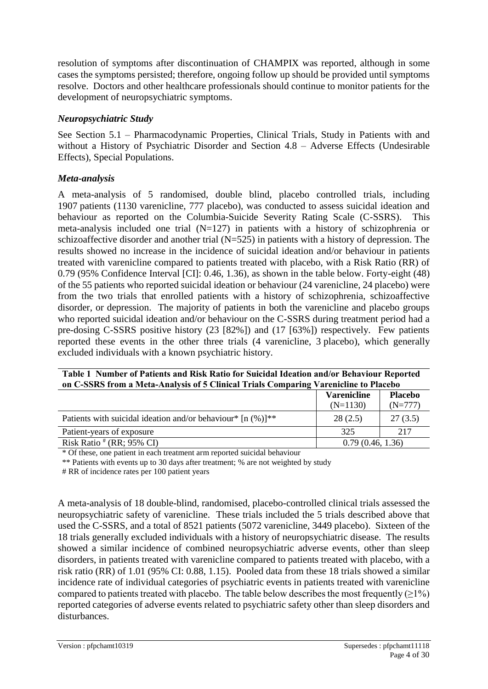resolution of symptoms after discontinuation of CHAMPIX was reported, although in some cases the symptoms persisted; therefore, ongoing follow up should be provided until symptoms resolve. Doctors and other healthcare professionals should continue to monitor patients for the development of neuropsychiatric symptoms.

### *Neuropsychiatric Study*

See Section 5.1 – Pharmacodynamic Properties, Clinical Trials, Study in Patients with and without a History of Psychiatric Disorder and Section 4.8 – Adverse Effects (Undesirable Effects), Special Populations.

### *Meta-analysis*

A meta-analysis of 5 randomised, double blind, placebo controlled trials, including 1907 patients (1130 varenicline, 777 placebo), was conducted to assess suicidal ideation and behaviour as reported on the Columbia-Suicide Severity Rating Scale (C-SSRS). This meta-analysis included one trial  $(N=127)$  in patients with a history of schizophrenia or schizoaffective disorder and another trial (N=525) in patients with a history of depression. The results showed no increase in the incidence of suicidal ideation and/or behaviour in patients treated with varenicline compared to patients treated with placebo, with a Risk Ratio (RR) of 0.79 (95% Confidence Interval [CI]: 0.46, 1.36), as shown in the table below. Forty-eight (48) of the 55 patients who reported suicidal ideation or behaviour (24 varenicline, 24 placebo) were from the two trials that enrolled patients with a history of schizophrenia, schizoaffective disorder, or depression. The majority of patients in both the varenicline and placebo groups who reported suicidal ideation and/or behaviour on the C-SSRS during treatment period had a pre-dosing C-SSRS positive history (23 [82%]) and (17 [63%]) respectively. Few patients reported these events in the other three trials (4 varenicline, 3 placebo), which generally excluded individuals with a known psychiatric history.

| Table 1 Number of Patients and Risk Ratio for Suicidal Ideation and/or Behaviour Reported<br>on C-SSRS from a Meta-Analysis of 5 Clinical Trials Comparing Varenicline to Placebo |                  |         |  |  |  |
|-----------------------------------------------------------------------------------------------------------------------------------------------------------------------------------|------------------|---------|--|--|--|
| <b>Placebo</b><br><b>Varenicline</b><br>$(N=1130)$<br>$(N=777)$                                                                                                                   |                  |         |  |  |  |
| Patients with suicidal ideation and/or behaviour* $[n (%)]^{**}$                                                                                                                  | 28(2.5)          | 27(3.5) |  |  |  |
| Patient-years of exposure                                                                                                                                                         | 325              | 217     |  |  |  |
| Risk Ratio $# (RR; 95\% \text{ CI})$                                                                                                                                              | 0.79(0.46, 1.36) |         |  |  |  |

\* Of these, one patient in each treatment arm reported suicidal behaviour

\*\* Patients with events up to 30 days after treatment; % are not weighted by study

# RR of incidence rates per 100 patient years

A meta-analysis of 18 double-blind, randomised, placebo-controlled clinical trials assessed the neuropsychiatric safety of varenicline. These trials included the 5 trials described above that used the C-SSRS, and a total of 8521 patients (5072 varenicline, 3449 placebo). Sixteen of the 18 trials generally excluded individuals with a history of neuropsychiatric disease. The results showed a similar incidence of combined neuropsychiatric adverse events, other than sleep disorders, in patients treated with varenicline compared to patients treated with placebo, with a risk ratio (RR) of 1.01 (95% CI: 0.88, 1.15). Pooled data from these 18 trials showed a similar incidence rate of individual categories of psychiatric events in patients treated with varenicline compared to patients treated with placebo. The table below describes the most frequently  $(\geq 1\%)$ reported categories of adverse events related to psychiatric safety other than sleep disorders and disturbances.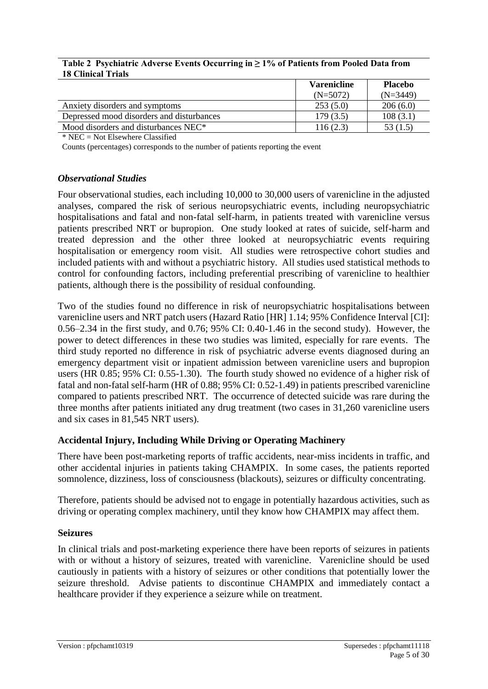#### **Table 2 Psychiatric Adverse Events Occurring in ≥ 1% of Patients from Pooled Data from 18 Clinical Trials**

|                                                  | <b>Varenicline</b> | <b>Placebo</b> |
|--------------------------------------------------|--------------------|----------------|
|                                                  | $(N=5072)$         | $(N=3449)$     |
| Anxiety disorders and symptoms                   | 253(5.0)           | 206(6.0)       |
| Depressed mood disorders and disturbances        | 179(3.5)           | 108(3.1)       |
| Mood disorders and disturbances NEC <sup>*</sup> | 116(2.3)           | 53 (1.5)       |

 $*$  NEC = Not Elsewhere Classified

Counts (percentages) corresponds to the number of patients reporting the event

#### *Observational Studies*

Four observational studies, each including 10,000 to 30,000 users of varenicline in the adjusted analyses, compared the risk of serious neuropsychiatric events, including neuropsychiatric hospitalisations and fatal and non-fatal self-harm, in patients treated with varenicline versus patients prescribed NRT or bupropion. One study looked at rates of suicide, self-harm and treated depression and the other three looked at neuropsychiatric events requiring hospitalisation or emergency room visit.All studies were retrospective cohort studies and included patients with and without a psychiatric history. All studies used statistical methods to control for confounding factors, including preferential prescribing of varenicline to healthier patients, although there is the possibility of residual confounding.

Two of the studies found no difference in risk of neuropsychiatric hospitalisations between varenicline users and NRT patch users (Hazard Ratio [HR] 1.14; 95% Confidence Interval [CI]: 0.56–2.34 in the first study, and 0.76; 95% CI: 0.40-1.46 in the second study). However, the power to detect differences in these two studies was limited, especially for rare events. The third study reported no difference in risk of psychiatric adverse events diagnosed during an emergency department visit or inpatient admission between varenicline users and bupropion users (HR 0.85; 95% CI: 0.55-1.30). The fourth study showed no evidence of a higher risk of fatal and non-fatal self-harm (HR of 0.88; 95% CI: 0.52-1.49) in patients prescribed varenicline compared to patients prescribed NRT. The occurrence of detected suicide was rare during the three months after patients initiated any drug treatment (two cases in 31,260 varenicline users and six cases in 81,545 NRT users).

#### **Accidental Injury, Including While Driving or Operating Machinery**

There have been post-marketing reports of traffic accidents, near-miss incidents in traffic, and other accidental injuries in patients taking CHAMPIX. In some cases, the patients reported somnolence, dizziness, loss of consciousness (blackouts), seizures or difficulty concentrating.

Therefore, patients should be advised not to engage in potentially hazardous activities, such as driving or operating complex machinery, until they know how CHAMPIX may affect them.

#### **Seizures**

In clinical trials and post-marketing experience there have been reports of seizures in patients with or without a history of seizures, treated with varenicline. Varenicline should be used cautiously in patients with a history of seizures or other conditions that potentially lower the seizure threshold. Advise patients to discontinue CHAMPIX and immediately contact a healthcare provider if they experience a seizure while on treatment.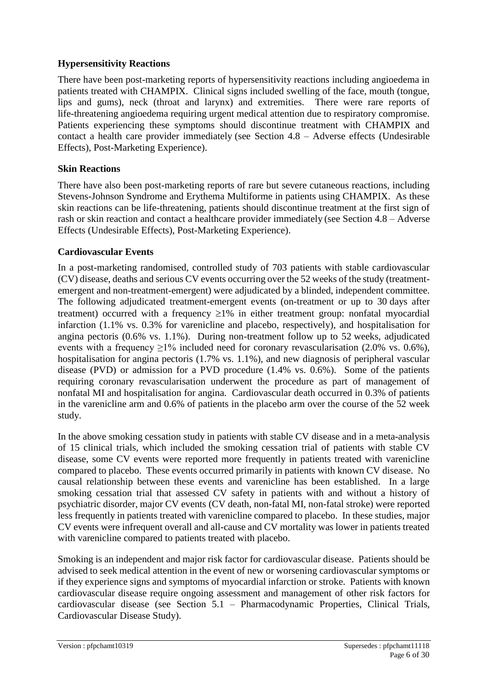### **Hypersensitivity Reactions**

There have been post-marketing reports of hypersensitivity reactions including angioedema in patients treated with CHAMPIX. Clinical signs included swelling of the face, mouth (tongue, lips and gums), neck (throat and larynx) and extremities. There were rare reports of life-threatening angioedema requiring urgent medical attention due to respiratory compromise. Patients experiencing these symptoms should discontinue treatment with CHAMPIX and contact a health care provider immediately (see Section 4.8 – Adverse effects (Undesirable Effects), Post-Marketing Experience).

### **Skin Reactions**

There have also been post-marketing reports of rare but severe cutaneous reactions, including Stevens-Johnson Syndrome and Erythema Multiforme in patients using CHAMPIX. As these skin reactions can be life-threatening, patients should discontinue treatment at the first sign of rash or skin reaction and contact a healthcare provider immediately (see Section 4.8 – Adverse Effects (Undesirable Effects), Post-Marketing Experience).

### **Cardiovascular Events**

In a post-marketing randomised, controlled study of 703 patients with stable cardiovascular (CV) disease, deaths and serious CV events occurring over the 52 weeks of the study (treatmentemergent and non-treatment-emergent) were adjudicated by a blinded, independent committee. The following adjudicated treatment-emergent events (on-treatment or up to 30 days after treatment) occurred with a frequency  $\geq 1\%$  in either treatment group: nonfatal myocardial infarction (1.1% vs. 0.3% for varenicline and placebo, respectively), and hospitalisation for angina pectoris (0.6% vs. 1.1%). During non-treatment follow up to 52 weeks, adjudicated events with a frequency  $\geq$ 1% included need for coronary revascularisation (2.0% vs. 0.6%), hospitalisation for angina pectoris (1.7% vs. 1.1%), and new diagnosis of peripheral vascular disease (PVD) or admission for a PVD procedure (1.4% vs. 0.6%). Some of the patients requiring coronary revascularisation underwent the procedure as part of management of nonfatal MI and hospitalisation for angina. Cardiovascular death occurred in 0.3% of patients in the varenicline arm and 0.6% of patients in the placebo arm over the course of the 52 week study.

In the above smoking cessation study in patients with stable CV disease and in a meta-analysis of 15 clinical trials, which included the smoking cessation trial of patients with stable CV disease, some CV events were reported more frequently in patients treated with varenicline compared to placebo. These events occurred primarily in patients with known CV disease. No causal relationship between these events and varenicline has been established. In a large smoking cessation trial that assessed CV safety in patients with and without a history of psychiatric disorder, major CV events (CV death, non-fatal MI, non-fatal stroke) were reported less frequently in patients treated with varenicline compared to placebo. In these studies, major CV events were infrequent overall and all-cause and CV mortality was lower in patients treated with varenicline compared to patients treated with placebo.

Smoking is an independent and major risk factor for cardiovascular disease. Patients should be advised to seek medical attention in the event of new or worsening cardiovascular symptoms or if they experience signs and symptoms of myocardial infarction or stroke. Patients with known cardiovascular disease require ongoing assessment and management of other risk factors for cardiovascular disease (see Section 5.1 – Pharmacodynamic Properties, Clinical Trials, Cardiovascular Disease Study).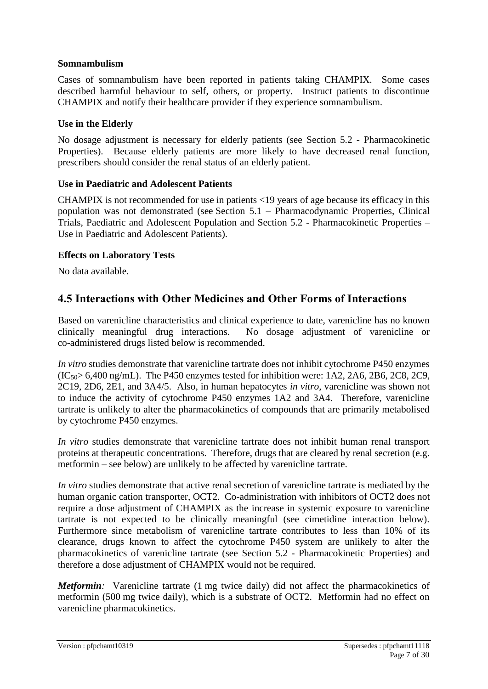### **Somnambulism**

Cases of somnambulism have been reported in patients taking CHAMPIX. Some cases described harmful behaviour to self, others, or property. Instruct patients to discontinue CHAMPIX and notify their healthcare provider if they experience somnambulism.

### **Use in the Elderly**

No dosage adjustment is necessary for elderly patients (see Section 5.2 - Pharmacokinetic Properties). Because elderly patients are more likely to have decreased renal function, prescribers should consider the renal status of an elderly patient.

### **Use in Paediatric and Adolescent Patients**

CHAMPIX is not recommended for use in patients <19 years of age because its efficacy in this population was not demonstrated (see Section 5.1 – Pharmacodynamic Properties, Clinical Trials, Paediatric and Adolescent Population and Section 5.2 - Pharmacokinetic Properties – Use in Paediatric and Adolescent Patients).

### **Effects on Laboratory Tests**

No data available.

## **4.5 Interactions with Other Medicines and Other Forms of Interactions**

Based on varenicline characteristics and clinical experience to date, varenicline has no known clinically meaningful drug interactions. No dosage adjustment of varenicline or co-administered drugs listed below is recommended.

*In vitro* studies demonstrate that varenicline tartrate does not inhibit cytochrome P450 enzymes  $(IC<sub>50</sub>> 6,400$  ng/mL). The P450 enzymes tested for inhibition were: 1A2, 2A6, 2B6, 2C8, 2C9, 2C19, 2D6, 2E1, and 3A4/5. Also, in human hepatocytes *in vitro*, varenicline was shown not to induce the activity of cytochrome P450 enzymes 1A2 and 3A4. Therefore, varenicline tartrate is unlikely to alter the pharmacokinetics of compounds that are primarily metabolised by cytochrome P450 enzymes.

*In vitro* studies demonstrate that varenicline tartrate does not inhibit human renal transport proteins at therapeutic concentrations. Therefore, drugs that are cleared by renal secretion (e.g. metformin – see below) are unlikely to be affected by varenicline tartrate.

*In vitro* studies demonstrate that active renal secretion of varenicline tartrate is mediated by the human organic cation transporter, OCT2. Co-administration with inhibitors of OCT2 does not require a dose adjustment of CHAMPIX as the increase in systemic exposure to varenicline tartrate is not expected to be clinically meaningful (see cimetidine interaction below). Furthermore since metabolism of varenicline tartrate contributes to less than 10% of its clearance, drugs known to affect the cytochrome P450 system are unlikely to alter the pharmacokinetics of varenicline tartrate (see Section 5.2 - Pharmacokinetic Properties) and therefore a dose adjustment of CHAMPIX would not be required.

*Metformin*: Varenicline tartrate (1 mg twice daily) did not affect the pharmacokinetics of metformin (500 mg twice daily), which is a substrate of OCT2. Metformin had no effect on varenicline pharmacokinetics.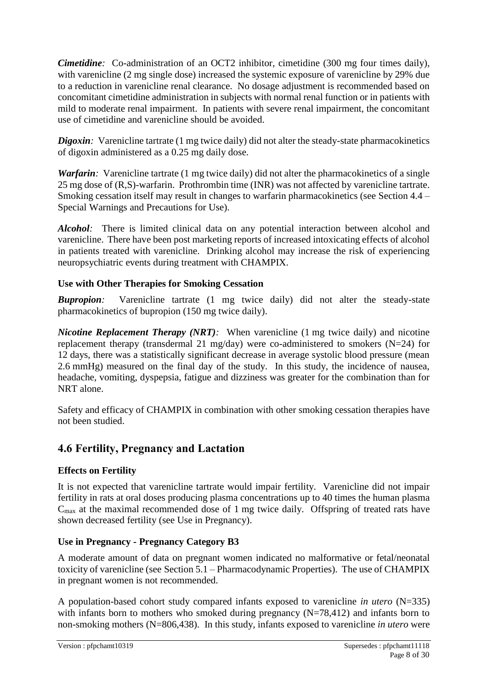*Cimetidine*: Co-administration of an OCT2 inhibitor, cimetidine (300 mg four times daily), with varenicline (2 mg single dose) increased the systemic exposure of varenicline by 29% due to a reduction in varenicline renal clearance. No dosage adjustment is recommended based on concomitant cimetidine administration in subjects with normal renal function or in patients with mild to moderate renal impairment. In patients with severe renal impairment, the concomitant use of cimetidine and varenicline should be avoided.

*Digoxin*: Varenicline tartrate (1 mg twice daily) did not alter the steady-state pharmacokinetics of digoxin administered as a 0.25 mg daily dose.

*Warfarin*: Varenicline tartrate (1 mg twice daily) did not alter the pharmacokinetics of a single 25 mg dose of (R,S)-warfarin. Prothrombin time (INR) was not affected by varenicline tartrate. Smoking cessation itself may result in changes to warfarin pharmacokinetics (see Section 4.4 – Special Warnings and Precautions for Use).

*Alcohol*: There is limited clinical data on any potential interaction between alcohol and varenicline. There have been post marketing reports of increased intoxicating effects of alcohol in patients treated with varenicline. Drinking alcohol may increase the risk of experiencing neuropsychiatric events during treatment with CHAMPIX.

### **Use with Other Therapies for Smoking Cessation**

*Bupropion:* Varenicline tartrate (1 mg twice daily) did not alter the steady-state pharmacokinetics of bupropion (150 mg twice daily).

*Nicotine Replacement Therapy (NRT)*: When varenicline (1 mg twice daily) and nicotine replacement therapy (transdermal 21 mg/day) were co-administered to smokers  $(N=24)$  for 12 days, there was a statistically significant decrease in average systolic blood pressure (mean 2.6 mmHg) measured on the final day of the study. In this study, the incidence of nausea, headache, vomiting, dyspepsia, fatigue and dizziness was greater for the combination than for NRT alone.

Safety and efficacy of CHAMPIX in combination with other smoking cessation therapies have not been studied.

## **4.6 Fertility, Pregnancy and Lactation**

### **Effects on Fertility**

It is not expected that varenicline tartrate would impair fertility. Varenicline did not impair fertility in rats at oral doses producing plasma concentrations up to 40 times the human plasma  $C<sub>max</sub>$  at the maximal recommended dose of 1 mg twice daily. Offspring of treated rats have shown decreased fertility (see Use in Pregnancy).

### **Use in Pregnancy - Pregnancy Category B3**

A moderate amount of data on pregnant women indicated no malformative or fetal/neonatal toxicity of varenicline (see Section 5.1 – Pharmacodynamic Properties). The use of CHAMPIX in pregnant women is not recommended.

A population-based cohort study compared infants exposed to varenicline *in utero* (N=335) with infants born to mothers who smoked during pregnancy (N=78,412) and infants born to non-smoking mothers (N=806,438). In this study, infants exposed to varenicline *in utero* were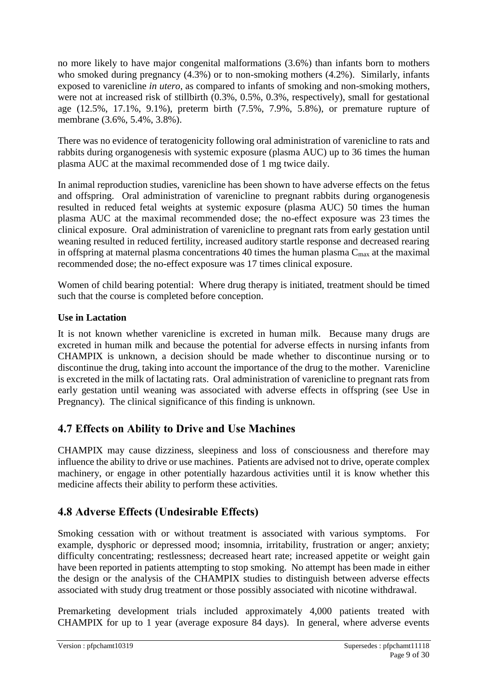no more likely to have major congenital malformations (3.6%) than infants born to mothers who smoked during pregnancy (4.3%) or to non-smoking mothers (4.2%). Similarly, infants exposed to varenicline *in utero,* as compared to infants of smoking and non-smoking mothers, were not at increased risk of stillbirth (0.3%, 0.5%, 0.3%, respectively), small for gestational age (12.5%, 17.1%, 9.1%), preterm birth (7.5%, 7.9%, 5.8%), or premature rupture of membrane (3.6%, 5.4%, 3.8%).

There was no evidence of teratogenicity following oral administration of varenicline to rats and rabbits during organogenesis with systemic exposure (plasma AUC) up to 36 times the human plasma AUC at the maximal recommended dose of 1 mg twice daily.

In animal reproduction studies, varenicline has been shown to have adverse effects on the fetus and offspring. Oral administration of varenicline to pregnant rabbits during organogenesis resulted in reduced fetal weights at systemic exposure (plasma AUC) 50 times the human plasma AUC at the maximal recommended dose; the no-effect exposure was 23 times the clinical exposure. Oral administration of varenicline to pregnant rats from early gestation until weaning resulted in reduced fertility, increased auditory startle response and decreased rearing in offspring at maternal plasma concentrations 40 times the human plasma  $C_{\text{max}}$  at the maximal recommended dose; the no-effect exposure was 17 times clinical exposure.

Women of child bearing potential: Where drug therapy is initiated, treatment should be timed such that the course is completed before conception.

### **Use in Lactation**

It is not known whether varenicline is excreted in human milk. Because many drugs are excreted in human milk and because the potential for adverse effects in nursing infants from CHAMPIX is unknown, a decision should be made whether to discontinue nursing or to discontinue the drug, taking into account the importance of the drug to the mother. Varenicline is excreted in the milk of lactating rats. Oral administration of varenicline to pregnant rats from early gestation until weaning was associated with adverse effects in offspring (see Use in Pregnancy). The clinical significance of this finding is unknown.

## **4.7 Effects on Ability to Drive and Use Machines**

CHAMPIX may cause dizziness, sleepiness and loss of consciousness and therefore may influence the ability to drive or use machines. Patients are advised not to drive, operate complex machinery, or engage in other potentially hazardous activities until it is know whether this medicine affects their ability to perform these activities.

# **4.8 Adverse Effects (Undesirable Effects)**

Smoking cessation with or without treatment is associated with various symptoms. For example, dysphoric or depressed mood; insomnia, irritability, frustration or anger; anxiety; difficulty concentrating; restlessness; decreased heart rate; increased appetite or weight gain have been reported in patients attempting to stop smoking. No attempt has been made in either the design or the analysis of the CHAMPIX studies to distinguish between adverse effects associated with study drug treatment or those possibly associated with nicotine withdrawal.

Premarketing development trials included approximately 4,000 patients treated with CHAMPIX for up to 1 year (average exposure 84 days). In general, where adverse events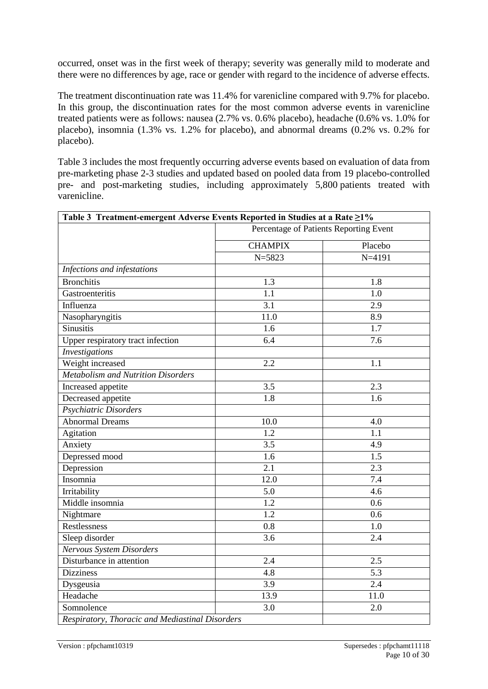occurred, onset was in the first week of therapy; severity was generally mild to moderate and there were no differences by age, race or gender with regard to the incidence of adverse effects.

The treatment discontinuation rate was 11.4% for varenicline compared with 9.7% for placebo. In this group, the discontinuation rates for the most common adverse events in varenicline treated patients were as follows: nausea (2.7% vs. 0.6% placebo), headache (0.6% vs. 1.0% for placebo), insomnia (1.3% vs. 1.2% for placebo), and abnormal dreams (0.2% vs. 0.2% for placebo).

Table 3 includes the most frequently occurring adverse events based on evaluation of data from pre-marketing phase 2-3 studies and updated based on pooled data from 19 placebo-controlled pre- and post-marketing studies, including approximately 5,800 patients treated with varenicline.

| Table 3 Treatment-emergent Adverse Events Reported in Studies at a Rate ≥1% |                                        |                  |  |  |
|-----------------------------------------------------------------------------|----------------------------------------|------------------|--|--|
|                                                                             | Percentage of Patients Reporting Event |                  |  |  |
|                                                                             | <b>CHAMPIX</b>                         | Placebo          |  |  |
|                                                                             | $N = 5823$                             | $N = 4191$       |  |  |
| Infections and infestations                                                 |                                        |                  |  |  |
| <b>Bronchitis</b>                                                           | 1.3                                    | 1.8              |  |  |
| Gastroenteritis                                                             | 1.1                                    | $\overline{1.0}$ |  |  |
| Influenza                                                                   | 3.1                                    | 2.9              |  |  |
| Nasopharyngitis                                                             | 11.0                                   | 8.9              |  |  |
| <b>Sinusitis</b>                                                            | 1.6                                    | 1.7              |  |  |
| Upper respiratory tract infection                                           | 6.4                                    | 7.6              |  |  |
| <b>Investigations</b>                                                       |                                        |                  |  |  |
| Weight increased                                                            | 2.2                                    | 1.1              |  |  |
| <b>Metabolism and Nutrition Disorders</b>                                   |                                        |                  |  |  |
| Increased appetite                                                          | $\overline{3.5}$                       | $\overline{2.3}$ |  |  |
| Decreased appetite                                                          | 1.8                                    | 1.6              |  |  |
| Psychiatric Disorders                                                       |                                        |                  |  |  |
| <b>Abnormal Dreams</b>                                                      | 10.0                                   | 4.0              |  |  |
| Agitation                                                                   | 1.2                                    | 1.1              |  |  |
| Anxiety                                                                     | 3.5                                    | 4.9              |  |  |
| Depressed mood                                                              | 1.6                                    | 1.5              |  |  |
| Depression                                                                  | 2.1                                    | 2.3              |  |  |
| Insomnia                                                                    | 12.0                                   | 7.4              |  |  |
| Irritability                                                                | 5.0                                    | 4.6              |  |  |
| Middle insomnia                                                             | $\overline{1.2}$                       | 0.6              |  |  |
| Nightmare                                                                   | 1.2                                    | 0.6              |  |  |
| Restlessness                                                                | 0.8                                    | 1.0              |  |  |
| Sleep disorder                                                              | 3.6                                    | 2.4              |  |  |
| Nervous System Disorders                                                    |                                        |                  |  |  |
| Disturbance in attention                                                    | 2.4                                    | 2.5              |  |  |
| <b>Dizziness</b>                                                            | 4.8                                    | 5.3              |  |  |
| Dysgeusia                                                                   | 3.9                                    | $\overline{2.4}$ |  |  |
| Headache                                                                    | 13.9                                   | 11.0             |  |  |
| Somnolence                                                                  | 3.0                                    | 2.0              |  |  |
| Respiratory, Thoracic and Mediastinal Disorders                             |                                        |                  |  |  |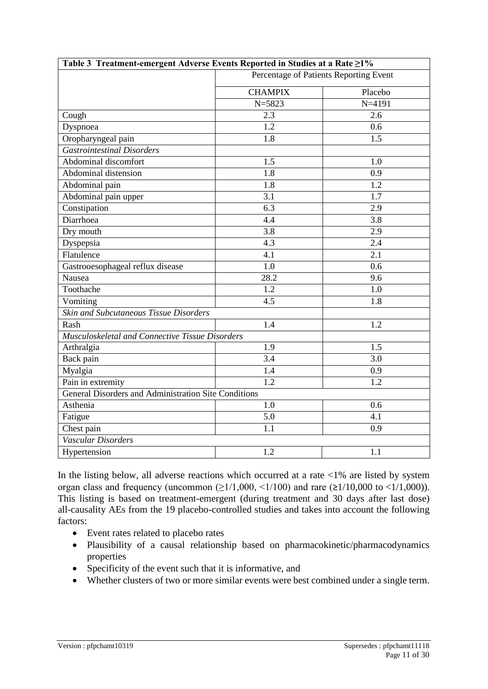| Table 3 Treatment-emergent Adverse Events Reported in Studies at a Rate ≥1% |                                        |            |  |  |
|-----------------------------------------------------------------------------|----------------------------------------|------------|--|--|
|                                                                             | Percentage of Patients Reporting Event |            |  |  |
|                                                                             | <b>CHAMPIX</b>                         | Placebo    |  |  |
|                                                                             | $N = 5823$                             | $N = 4191$ |  |  |
| Cough                                                                       | 2.3                                    | 2.6        |  |  |
| Dyspnoea                                                                    | 1.2                                    | 0.6        |  |  |
| Oropharyngeal pain                                                          | 1.8                                    | 1.5        |  |  |
| <b>Gastrointestinal Disorders</b>                                           |                                        |            |  |  |
| Abdominal discomfort                                                        | 1.5                                    | 1.0        |  |  |
| Abdominal distension                                                        | 1.8                                    | 0.9        |  |  |
| Abdominal pain                                                              | 1.8                                    | 1.2        |  |  |
| Abdominal pain upper                                                        | 3.1                                    | 1.7        |  |  |
| Constipation                                                                | 6.3                                    | 2.9        |  |  |
| Diarrhoea                                                                   | 4.4                                    | 3.8        |  |  |
| Dry mouth                                                                   | 3.8                                    | 2.9        |  |  |
| Dyspepsia                                                                   | 4.3                                    | 2.4        |  |  |
| Flatulence                                                                  | 4.1                                    | 2.1        |  |  |
| Gastrooesophageal reflux disease                                            | 1.0                                    | 0.6        |  |  |
| Nausea                                                                      | 28.2                                   | 9.6        |  |  |
| Toothache                                                                   | 1.2                                    | 1.0        |  |  |
| Vomiting                                                                    | 4.5                                    |            |  |  |
| Skin and Subcutaneous Tissue Disorders                                      |                                        |            |  |  |
| Rash                                                                        | 1.4                                    | 1.2        |  |  |
| Musculoskeletal and Connective Tissue Disorders                             |                                        |            |  |  |
| Arthralgia                                                                  | 1.9                                    | 1.5        |  |  |
| Back pain                                                                   | 3.4                                    | 3.0        |  |  |
| Myalgia                                                                     | 1.4                                    | 0.9        |  |  |
| Pain in extremity                                                           | $\overline{1.2}$                       | 1.2        |  |  |
| General Disorders and Administration Site Conditions                        |                                        |            |  |  |
| Asthenia                                                                    | 1.0                                    | 0.6        |  |  |
| Fatigue                                                                     | 5.0                                    | 4.1        |  |  |
| Chest pain                                                                  | 1.1                                    | 0.9        |  |  |
| Vascular Disorders                                                          |                                        |            |  |  |
| Hypertension                                                                | 1.2                                    | 1.1        |  |  |

In the listing below, all adverse reactions which occurred at a rate  $<1\%$  are listed by system organ class and frequency (uncommon  $(\geq 1/1,000, \leq 1/100)$  and rare  $(\geq 1/10,000$  to  $\leq 1/1,000)$ ). This listing is based on treatment-emergent (during treatment and 30 days after last dose) all-causality AEs from the 19 placebo-controlled studies and takes into account the following factors:

- Event rates related to placebo rates
- Plausibility of a causal relationship based on pharmacokinetic/pharmacodynamics properties
- Specificity of the event such that it is informative, and
- Whether clusters of two or more similar events were best combined under a single term.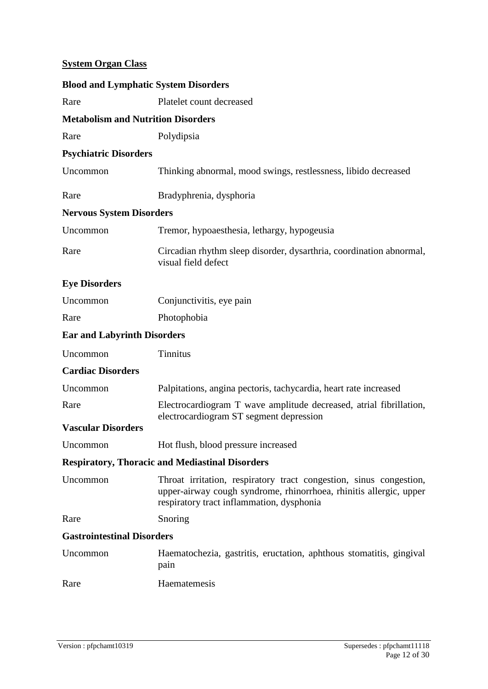## **System Organ Class**

| <b>Blood and Lymphatic System Disorders</b> |                                                                                                                                                                                       |  |  |  |  |
|---------------------------------------------|---------------------------------------------------------------------------------------------------------------------------------------------------------------------------------------|--|--|--|--|
| Rare                                        | Platelet count decreased                                                                                                                                                              |  |  |  |  |
| <b>Metabolism and Nutrition Disorders</b>   |                                                                                                                                                                                       |  |  |  |  |
| Rare                                        | Polydipsia                                                                                                                                                                            |  |  |  |  |
| <b>Psychiatric Disorders</b>                |                                                                                                                                                                                       |  |  |  |  |
| Uncommon                                    | Thinking abnormal, mood swings, restlessness, libido decreased                                                                                                                        |  |  |  |  |
| Rare                                        | Bradyphrenia, dysphoria                                                                                                                                                               |  |  |  |  |
| <b>Nervous System Disorders</b>             |                                                                                                                                                                                       |  |  |  |  |
| Uncommon                                    | Tremor, hypoaesthesia, lethargy, hypogeusia                                                                                                                                           |  |  |  |  |
| Rare                                        | Circadian rhythm sleep disorder, dysarthria, coordination abnormal,<br>visual field defect                                                                                            |  |  |  |  |
| <b>Eye Disorders</b>                        |                                                                                                                                                                                       |  |  |  |  |
| Uncommon                                    | Conjunctivitis, eye pain                                                                                                                                                              |  |  |  |  |
| Rare                                        | Photophobia                                                                                                                                                                           |  |  |  |  |
| <b>Ear and Labyrinth Disorders</b>          |                                                                                                                                                                                       |  |  |  |  |
| Uncommon                                    | Tinnitus                                                                                                                                                                              |  |  |  |  |
| <b>Cardiac Disorders</b>                    |                                                                                                                                                                                       |  |  |  |  |
| Uncommon                                    | Palpitations, angina pectoris, tachycardia, heart rate increased                                                                                                                      |  |  |  |  |
| Rare                                        | Electrocardiogram T wave amplitude decreased, atrial fibrillation,<br>electrocardiogram ST segment depression                                                                         |  |  |  |  |
| <b>Vascular Disorders</b>                   |                                                                                                                                                                                       |  |  |  |  |
| Uncommon                                    | Hot flush, blood pressure increased                                                                                                                                                   |  |  |  |  |
|                                             | <b>Respiratory, Thoracic and Mediastinal Disorders</b>                                                                                                                                |  |  |  |  |
| Uncommon                                    | Throat irritation, respiratory tract congestion, sinus congestion,<br>upper-airway cough syndrome, rhinorrhoea, rhinitis allergic, upper<br>respiratory tract inflammation, dysphonia |  |  |  |  |
| Rare                                        | Snoring                                                                                                                                                                               |  |  |  |  |
| <b>Gastrointestinal Disorders</b>           |                                                                                                                                                                                       |  |  |  |  |
| Uncommon                                    | Haematochezia, gastritis, eructation, aphthous stomatitis, gingival<br>pain                                                                                                           |  |  |  |  |
| Rare                                        | Haematemesis                                                                                                                                                                          |  |  |  |  |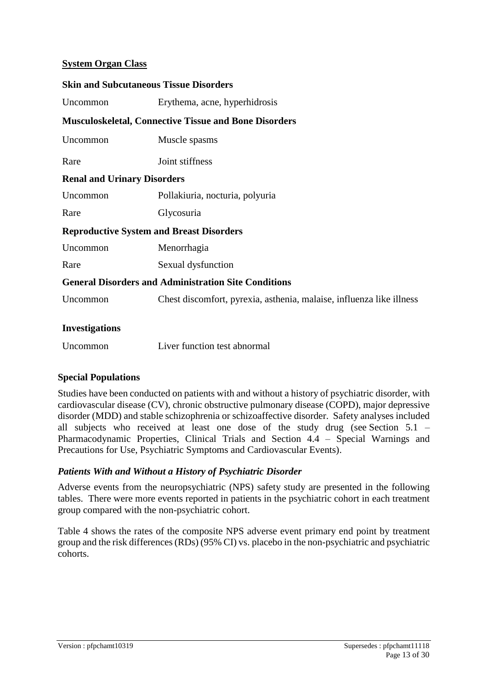### **System Organ Class**

| <b>Skin and Subcutaneous Tissue Disorders</b>   |                                                                      |  |  |  |
|-------------------------------------------------|----------------------------------------------------------------------|--|--|--|
| Uncommon                                        | Erythema, acne, hyperhidrosis                                        |  |  |  |
|                                                 | <b>Musculoskeletal, Connective Tissue and Bone Disorders</b>         |  |  |  |
| Uncommon                                        | Muscle spasms                                                        |  |  |  |
| Rare                                            | Joint stiffness                                                      |  |  |  |
| <b>Renal and Urinary Disorders</b>              |                                                                      |  |  |  |
| Uncommon                                        | Pollakiuria, nocturia, polyuria                                      |  |  |  |
| Rare                                            | Glycosuria                                                           |  |  |  |
| <b>Reproductive System and Breast Disorders</b> |                                                                      |  |  |  |
| Uncommon                                        | Menorrhagia                                                          |  |  |  |
| Rare                                            | Sexual dysfunction                                                   |  |  |  |
|                                                 | <b>General Disorders and Administration Site Conditions</b>          |  |  |  |
| Uncommon                                        | Chest discomfort, pyrexia, asthenia, malaise, influenza like illness |  |  |  |
| <b>Investigations</b>                           |                                                                      |  |  |  |

| Uncommon | Liver function test abnormal |  |
|----------|------------------------------|--|
|          |                              |  |

### **Special Populations**

Studies have been conducted on patients with and without a history of psychiatric disorder, with cardiovascular disease (CV), chronic obstructive pulmonary disease (COPD), major depressive disorder (MDD) and stable schizophrenia or schizoaffective disorder. Safety analyses included all subjects who received at least one dose of the study drug (see Section 5.1 – Pharmacodynamic Properties, Clinical Trials and Section 4.4 – Special Warnings and Precautions for Use, Psychiatric Symptoms and Cardiovascular Events).

### *Patients With and Without a History of Psychiatric Disorder*

Adverse events from the neuropsychiatric (NPS) safety study are presented in the following tables. There were more events reported in patients in the psychiatric cohort in each treatment group compared with the non-psychiatric cohort.

Table 4 shows the rates of the composite NPS adverse event primary end point by treatment group and the risk differences (RDs) (95% CI) vs. placebo in the non-psychiatric and psychiatric cohorts.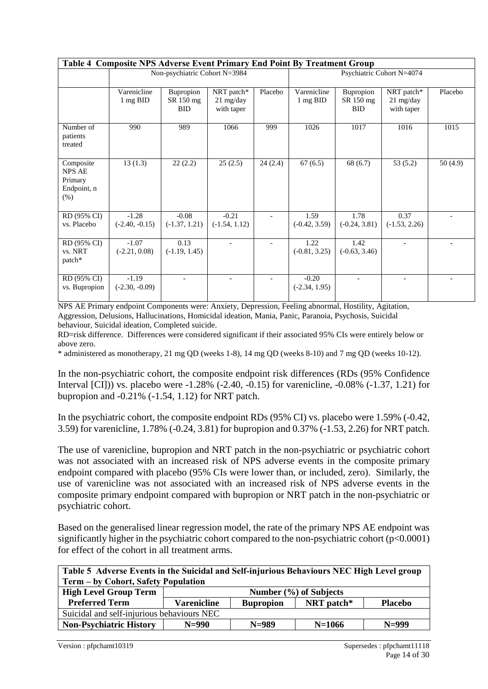| Table 4 Composite NPS Adverse Event Primary End Point By Treatment Group |                               |                                      |                                       |                           |                            |                                      |                                       |         |
|--------------------------------------------------------------------------|-------------------------------|--------------------------------------|---------------------------------------|---------------------------|----------------------------|--------------------------------------|---------------------------------------|---------|
|                                                                          | Non-psychiatric Cohort N=3984 |                                      |                                       | Psychiatric Cohort N=4074 |                            |                                      |                                       |         |
|                                                                          | Varenicline<br>1 mg BID       | Bupropion<br>SR 150 mg<br><b>BID</b> | NRT patch*<br>21 mg/day<br>with taper | Placebo                   | Varenicline<br>1 mg BID    | Bupropion<br>SR 150 mg<br><b>BID</b> | NRT patch*<br>21 mg/day<br>with taper | Placebo |
| Number of<br>patients<br>treated                                         | 990                           | 989                                  | 1066                                  | 999                       | 1026                       | 1017                                 | 1016                                  | 1015    |
| Composite<br><b>NPS AE</b><br>Primary<br>Endpoint, n<br>(%)              | 13(1.3)                       | 22(2.2)                              | 25(2.5)                               | 24(2.4)                   | 67(6.5)                    | 68(6.7)                              | 53(5.2)                               | 50(4.9) |
| RD (95% CI)<br>vs. Placebo                                               | $-1.28$<br>$(-2.40, -0.15)$   | $-0.08$<br>$(-1.37, 1.21)$           | $-0.21$<br>$(-1.54, 1.12)$            |                           | 1.59<br>$(-0.42, 3.59)$    | 1.78<br>$(-0.24, 3.81)$              | 0.37<br>$(-1.53, 2.26)$               |         |
| RD (95% CI)<br>vs. NRT<br>patch*                                         | $-1.07$<br>$(-2.21, 0.08)$    | 0.13<br>$(-1.19, 1.45)$              |                                       |                           | 1.22<br>$(-0.81, 3.25)$    | 1.42<br>$(-0.63, 3.46)$              |                                       |         |
| RD (95% CI)<br>vs. Bupropion                                             | $-1.19$<br>$(-2.30, -0.09)$   |                                      |                                       |                           | $-0.20$<br>$(-2.34, 1.95)$ |                                      |                                       |         |

NPS AE Primary endpoint Components were: Anxiety, Depression, Feeling abnormal, Hostility, Agitation, Aggression, Delusions, Hallucinations, Homicidal ideation, Mania, Panic, Paranoia, Psychosis, Suicidal behaviour, Suicidal ideation, Completed suicide.

RD=risk difference. Differences were considered significant if their associated 95% CIs were entirely below or above zero.

\* administered as monotherapy, 21 mg QD (weeks 1-8), 14 mg QD (weeks 8-10) and 7 mg QD (weeks 10-12).

In the non-psychiatric cohort, the composite endpoint risk differences (RDs (95% Confidence Interval [CI])) vs. placebo were -1.28% (-2.40, -0.15) for varenicline, -0.08% (-1.37, 1.21) for bupropion and -0.21% (-1.54, 1.12) for NRT patch.

In the psychiatric cohort, the composite endpoint RDs (95% CI) vs. placebo were 1.59% (-0.42, 3.59) for varenicline, 1.78% (-0.24, 3.81) for bupropion and 0.37% (-1.53, 2.26) for NRT patch.

The use of varenicline, bupropion and NRT patch in the non-psychiatric or psychiatric cohort was not associated with an increased risk of NPS adverse events in the composite primary endpoint compared with placebo (95% CIs were lower than, or included, zero). Similarly, the use of varenicline was not associated with an increased risk of NPS adverse events in the composite primary endpoint compared with bupropion or NRT patch in the non-psychiatric or psychiatric cohort.

Based on the generalised linear regression model, the rate of the primary NPS AE endpoint was significantly higher in the psychiatric cohort compared to the non-psychiatric cohort (p<0.0001) for effect of the cohort in all treatment arms.

| Table 5 Adverse Events in the Suicidal and Self-injurious Behaviours NEC High Level group |                    |                  |                            |                |  |
|-------------------------------------------------------------------------------------------|--------------------|------------------|----------------------------|----------------|--|
| Term – by Cohort, Safety Population                                                       |                    |                  |                            |                |  |
| <b>High Level Group Term</b>                                                              |                    |                  | Number $(\% )$ of Subjects |                |  |
| <b>Preferred Term</b>                                                                     | <b>Varenicline</b> | <b>Bupropion</b> | NRT patch*                 | <b>Placebo</b> |  |
| Suicidal and self-injurious behaviours NEC                                                |                    |                  |                            |                |  |

**Non-Psychiatric History N=990 N=989 N=1066 N=999**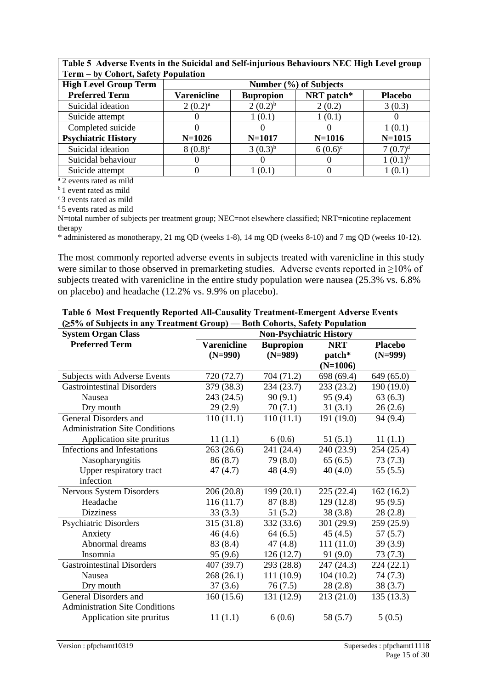| Term – by Cohort, Safety Population |                                                                        |              |            |              |  |  |
|-------------------------------------|------------------------------------------------------------------------|--------------|------------|--------------|--|--|
| <b>High Level Group Term</b>        | Number (%) of Subjects                                                 |              |            |              |  |  |
| <b>Preferred Term</b>               | NRT patch*<br><b>Varenicline</b><br><b>Bupropion</b><br><b>Placebo</b> |              |            |              |  |  |
| Suicidal ideation                   | $2(0.2)^{a}$                                                           | $(0.2)^{b}$  | 2(0.2)     | 3(0.3)       |  |  |
| Suicide attempt                     |                                                                        | 1(0.1)       | 1(0.1)     |              |  |  |
| Completed suicide                   |                                                                        |              |            | 1(0.1)       |  |  |
| <b>Psychiatric History</b>          | $N = 1026$                                                             | $N = 1017$   | $N = 1016$ | $N = 1015$   |  |  |
| Suicidal ideation                   | $8(0.8)^c$                                                             | $3(0.3)^{b}$ | $6(0.6)^c$ | $7(0.7)^d$   |  |  |
| Suicidal behaviour                  |                                                                        |              |            | $1(0.1)^{b}$ |  |  |
| Suicide attempt                     |                                                                        | (0.1)        |            | 1(0.1)       |  |  |

**Table 5 Adverse Events in the Suicidal and Self-injurious Behaviours NEC High Level group Term – by Cohort, Safety Population**

<sup>a</sup> 2 events rated as mild

<sup>b</sup> 1 event rated as mild

<sup>c</sup>3 events rated as mild

<sup>d</sup> 5 events rated as mild

N=total number of subjects per treatment group; NEC=not elsewhere classified; NRT=nicotine replacement therapy

\* administered as monotherapy, 21 mg QD (weeks 1-8), 14 mg QD (weeks 8-10) and 7 mg QD (weeks 10-12).

The most commonly reported adverse events in subjects treated with varenicline in this study were similar to those observed in premarketing studies. Adverse events reported in ≥10% of subjects treated with varenicline in the entire study population were nausea (25.3% vs. 6.8% on placebo) and headache (12.2% vs. 9.9% on placebo).

| <b>System Organ Class</b>             | <b>Non-Psychiatric History</b>  |                               |                          |                             |  |
|---------------------------------------|---------------------------------|-------------------------------|--------------------------|-----------------------------|--|
| <b>Preferred Term</b>                 | <b>Varenicline</b><br>$(N=990)$ | <b>Bupropion</b><br>$(N=989)$ | <b>NRT</b><br>patch*     | <b>Placebo</b><br>$(N=999)$ |  |
| Subjects with Adverse Events          | 720 (72.7)                      | 704 (71.2)                    | $(N=1006)$<br>698 (69.4) | 649 (65.0)                  |  |
| <b>Gastrointestinal Disorders</b>     | 379 (38.3)                      | 234(23.7)                     | 233(23.2)                | 190 (19.0)                  |  |
| Nausea                                | 243 (24.5)                      | 90(9.1)                       | 95(9.4)                  | 63(6.3)                     |  |
| Dry mouth                             | 29(2.9)                         | 70(7.1)                       | 31(3.1)                  | 26(2.6)                     |  |
| General Disorders and                 | 110(11.1)                       | 110(11.1)                     | 191(19.0)                | 94(9.4)                     |  |
| <b>Administration Site Conditions</b> |                                 |                               |                          |                             |  |
| Application site pruritus             | 11(1.1)                         | 6(0.6)                        | 51(5.1)                  | 11(1.1)                     |  |
| Infections and Infestations           | 263(26.6)                       | 241 (24.4)                    | 240(23.9)                | 254 (25.4)                  |  |
| Nasopharyngitis                       | 86 (8.7)                        | 79 (8.0)                      | 65(6.5)                  | 73(7.3)                     |  |
| Upper respiratory tract               | 47(4.7)                         | 48 (4.9)                      | 40(4.0)                  | 55(5.5)                     |  |
| infection                             |                                 |                               |                          |                             |  |
| Nervous System Disorders              | 206(20.8)                       | 199(20.1)                     | 225(22.4)                | 162(16.2)                   |  |
| Headache                              | 116(11.7)                       | 87(8.8)                       | 129(12.8)                | 95(9.5)                     |  |
| <b>Dizziness</b>                      | 33(3.3)                         | 51(5.2)                       | 38(3.8)                  | 28(2.8)                     |  |
| <b>Psychiatric Disorders</b>          | 315(31.8)                       | 332(33.6)                     | 301(29.9)                | 259(25.9)                   |  |
| Anxiety                               | 46(4.6)                         | 64(6.5)                       | 45(4.5)                  | 57(5.7)                     |  |
| Abnormal dreams                       | 83 (8.4)                        | 47(4.8)                       | 111(11.0)                | 39(3.9)                     |  |
| Insomnia                              | 95(9.6)                         | 126(12.7)                     | 91 (9.0)                 | 73(7.3)                     |  |
| <b>Gastrointestinal Disorders</b>     | 407 (39.7)                      | 293 (28.8)                    | 247(24.3)                | 224(22.1)                   |  |
| Nausea                                | 268(26.1)                       | 111(10.9)                     | 104(10.2)                | 74(7.3)                     |  |
| Dry mouth                             | 37(3.6)                         | 76 (7.5)                      | 28(2.8)                  | 38(3.7)                     |  |
| General Disorders and                 | 160(15.6)                       | 131(12.9)                     | 213(21.0)                | 135(13.3)                   |  |
| <b>Administration Site Conditions</b> |                                 |                               |                          |                             |  |
| Application site pruritus             | 11(1.1)                         | 6(0.6)                        | 58 (5.7)                 | 5(0.5)                      |  |
|                                       |                                 |                               |                          |                             |  |

**Table 6 Most Frequently Reported All-Causality Treatment-Emergent Adverse Events (5% of Subjects in any Treatment Group) — Both Cohorts, Safety Population**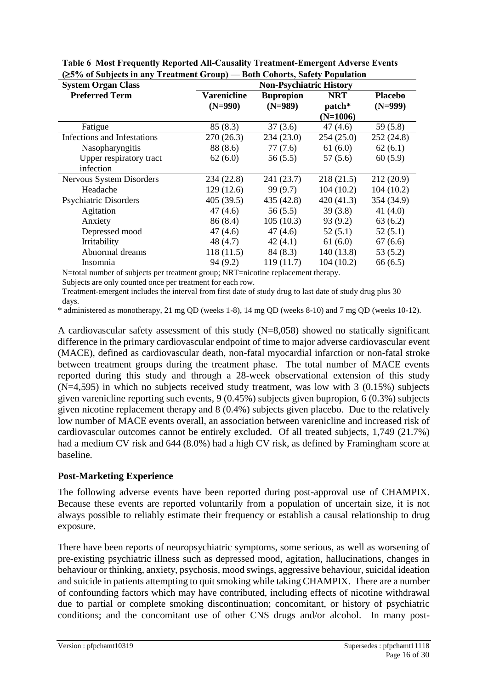| <b>System Organ Class</b>    | <b>Non-Psychiatric History</b> |                               |                                    |                             |
|------------------------------|--------------------------------|-------------------------------|------------------------------------|-----------------------------|
| <b>Preferred Term</b>        | Varenicline<br>$(N=990)$       | <b>Bupropion</b><br>$(N=989)$ | <b>NRT</b><br>patch*<br>$(N=1006)$ | <b>Placebo</b><br>$(N=999)$ |
| Fatigue                      | 85(8.3)                        | 37(3.6)                       | 47(4.6)                            | 59(5.8)                     |
| Infections and Infestations  | 270(26.3)                      | 234(23.0)                     | 254(25.0)                          | 252(24.8)                   |
| Nasopharyngitis              | 88 (8.6)                       | 77(7.6)                       | 61(6.0)                            | 62(6.1)                     |
| Upper respiratory tract      | 62(6.0)                        | 56(5.5)                       | 57(5.6)                            | 60(5.9)                     |
| infection                    |                                |                               |                                    |                             |
| Nervous System Disorders     | 234 (22.8)                     | 241 (23.7)                    | 218(21.5)                          | 212(20.9)                   |
| Headache                     | 129(12.6)                      | 99 (9.7)                      | 104(10.2)                          | 104(10.2)                   |
| <b>Psychiatric Disorders</b> | 405(39.5)                      | 435(42.8)                     | 420(41.3)                          | 354 (34.9)                  |
| Agitation                    | 47(4.6)                        | 56(5.5)                       | 39(3.8)                            | 41 $(4.0)$                  |
| Anxiety                      | 86 (8.4)                       | 105(10.3)                     | 93(9.2)                            | 63(6.2)                     |
| Depressed mood               | 47(4.6)                        | 47(4.6)                       | 52(5.1)                            | 52(5.1)                     |
| Irritability                 | 48(4.7)                        | 42(4.1)                       | 61(6.0)                            | 67(6.6)                     |
| Abnormal dreams              | 118(11.5)                      | 84(8.3)                       | 140(13.8)                          | 53(5.2)                     |
| Insomnia                     | 94(9.2)                        | 119(11.7)                     | 104(10.2)                          | 66(6.5)                     |

**Table 6 Most Frequently Reported All-Causality Treatment-Emergent Adverse Events (5% of Subjects in any Treatment Group) — Both Cohorts, Safety Population**

N=total number of subjects per treatment group; NRT=nicotine replacement therapy.

Subjects are only counted once per treatment for each row.

Treatment-emergent includes the interval from first date of study drug to last date of study drug plus 30 days.

\* administered as monotherapy, 21 mg QD (weeks 1-8), 14 mg QD (weeks 8-10) and 7 mg QD (weeks 10-12).

A cardiovascular safety assessment of this study (N=8,058) showed no statically significant difference in the primary cardiovascular endpoint of time to major adverse cardiovascular event (MACE), defined as cardiovascular death, non-fatal myocardial infarction or non-fatal stroke between treatment groups during the treatment phase. The total number of MACE events reported during this study and through a 28-week observational extension of this study (N=4,595) in which no subjects received study treatment, was low with 3 (0.15%) subjects given varenicline reporting such events, 9 (0.45%) subjects given bupropion, 6 (0.3%) subjects given nicotine replacement therapy and 8 (0.4%) subjects given placebo. Due to the relatively low number of MACE events overall, an association between varenicline and increased risk of cardiovascular outcomes cannot be entirely excluded. Of all treated subjects, 1,749 (21.7%) had a medium CV risk and 644 (8.0%) had a high CV risk, as defined by Framingham score at baseline.

#### **Post-Marketing Experience**

The following adverse events have been reported during post-approval use of CHAMPIX. Because these events are reported voluntarily from a population of uncertain size, it is not always possible to reliably estimate their frequency or establish a causal relationship to drug exposure.

There have been reports of neuropsychiatric symptoms, some serious, as well as worsening of pre-existing psychiatric illness such as depressed mood, agitation, hallucinations, changes in behaviour or thinking, anxiety, psychosis, mood swings, aggressive behaviour, suicidal ideation and suicide in patients attempting to quit smoking while taking CHAMPIX. There are a number of confounding factors which may have contributed, including effects of nicotine withdrawal due to partial or complete smoking discontinuation; concomitant, or history of psychiatric conditions; and the concomitant use of other CNS drugs and/or alcohol. In many post-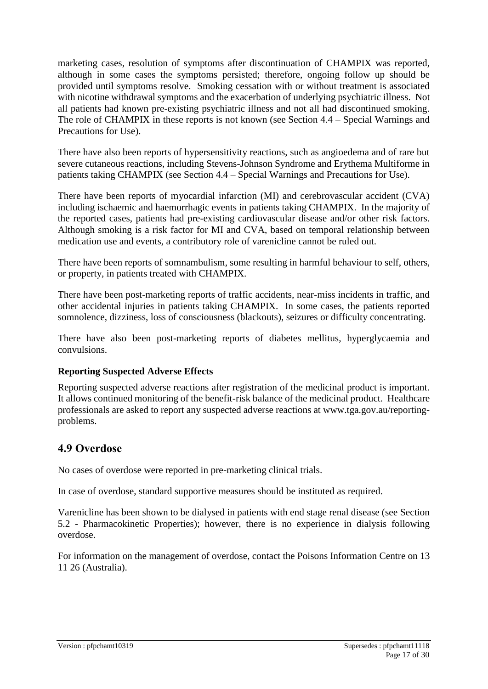marketing cases, resolution of symptoms after discontinuation of CHAMPIX was reported, although in some cases the symptoms persisted; therefore, ongoing follow up should be provided until symptoms resolve. Smoking cessation with or without treatment is associated with nicotine withdrawal symptoms and the exacerbation of underlying psychiatric illness. Not all patients had known pre-existing psychiatric illness and not all had discontinued smoking. The role of CHAMPIX in these reports is not known (see Section 4.4 – Special Warnings and Precautions for Use).

There have also been reports of hypersensitivity reactions, such as angioedema and of rare but severe cutaneous reactions, including Stevens-Johnson Syndrome and Erythema Multiforme in patients taking CHAMPIX (see Section 4.4 – Special Warnings and Precautions for Use).

There have been reports of myocardial infarction (MI) and cerebrovascular accident (CVA) including ischaemic and haemorrhagic events in patients taking CHAMPIX. In the majority of the reported cases, patients had pre-existing cardiovascular disease and/or other risk factors. Although smoking is a risk factor for MI and CVA, based on temporal relationship between medication use and events, a contributory role of varenicline cannot be ruled out.

There have been reports of somnambulism, some resulting in harmful behaviour to self, others, or property, in patients treated with CHAMPIX.

There have been post-marketing reports of traffic accidents, near-miss incidents in traffic, and other accidental injuries in patients taking CHAMPIX. In some cases, the patients reported somnolence, dizziness, loss of consciousness (blackouts), seizures or difficulty concentrating.

There have also been post-marketing reports of diabetes mellitus, hyperglycaemia and convulsions.

#### **Reporting Suspected Adverse Effects**

Reporting suspected adverse reactions after registration of the medicinal product is important. It allows continued monitoring of the benefit-risk balance of the medicinal product. Healthcare professionals are asked to report any suspected adverse reactions at [www.tga.gov.au/reporting](http://www.tga.gov.au/reporting-problems)[problems.](http://www.tga.gov.au/reporting-problems)

### **4.9 Overdose**

No cases of overdose were reported in pre-marketing clinical trials.

In case of overdose, standard supportive measures should be instituted as required.

Varenicline has been shown to be dialysed in patients with end stage renal disease (see Section 5.2 - Pharmacokinetic Properties); however, there is no experience in dialysis following overdose.

For information on the management of overdose, contact the Poisons Information Centre on 13 11 26 (Australia).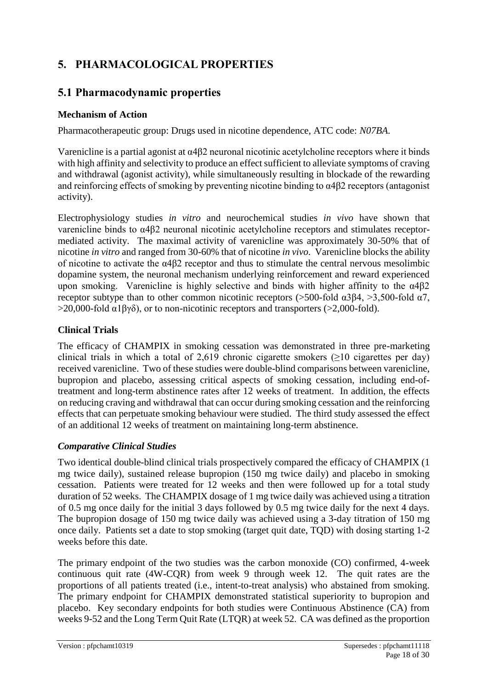# **5. PHARMACOLOGICAL PROPERTIES**

## **5.1 Pharmacodynamic properties**

### **Mechanism of Action**

Pharmacotherapeutic group: Drugs used in nicotine dependence, ATC code: *N07BA.*

Varenicline is a partial agonist at α4β2 neuronal nicotinic acetylcholine receptors where it binds with high affinity and selectivity to produce an effect sufficient to alleviate symptoms of craving and withdrawal (agonist activity), while simultaneously resulting in blockade of the rewarding and reinforcing effects of smoking by preventing nicotine binding to α4β2 receptors (antagonist activity).

Electrophysiology studies *in vitro* and neurochemical studies *in vivo* have shown that varenicline binds to α4β2 neuronal nicotinic acetylcholine receptors and stimulates receptormediated activity. The maximal activity of varenicline was approximately 30-50% that of nicotine *in vitro* and ranged from 30-60% that of nicotine *in vivo*. Varenicline blocks the ability of nicotine to activate the α4β2 receptor and thus to stimulate the central nervous mesolimbic dopamine system, the neuronal mechanism underlying reinforcement and reward experienced upon smoking. Varenicline is highly selective and binds with higher affinity to the  $\alpha$ 4 $\beta$ 2 receptor subtype than to other common nicotinic receptors ( $>500$ -fold  $\alpha$ 3β4,  $>3,500$ -fold  $\alpha$ 7,  $>$ 20,000-fold  $\alpha$ 1βγδ), or to non-nicotinic receptors and transporters ( $>$ 2,000-fold).

### **Clinical Trials**

The efficacy of CHAMPIX in smoking cessation was demonstrated in three pre-marketing clinical trials in which a total of 2,619 chronic cigarette smokers ( $\geq$ 10 cigarettes per day) received varenicline. Two of these studies were double-blind comparisons between varenicline, bupropion and placebo, assessing critical aspects of smoking cessation, including end-oftreatment and long-term abstinence rates after 12 weeks of treatment. In addition, the effects on reducing craving and withdrawal that can occur during smoking cessation and the reinforcing effects that can perpetuate smoking behaviour were studied. The third study assessed the effect of an additional 12 weeks of treatment on maintaining long-term abstinence.

### *Comparative Clinical Studies*

Two identical double-blind clinical trials prospectively compared the efficacy of CHAMPIX (1 mg twice daily), sustained release bupropion (150 mg twice daily) and placebo in smoking cessation. Patients were treated for 12 weeks and then were followed up for a total study duration of 52 weeks. The CHAMPIX dosage of 1 mg twice daily was achieved using a titration of 0.5 mg once daily for the initial 3 days followed by 0.5 mg twice daily for the next 4 days. The bupropion dosage of 150 mg twice daily was achieved using a 3-day titration of 150 mg once daily. Patients set a date to stop smoking (target quit date, TQD) with dosing starting 1-2 weeks before this date.

The primary endpoint of the two studies was the carbon monoxide (CO) confirmed, 4-week continuous quit rate (4W-CQR) from week 9 through week 12. The quit rates are the proportions of all patients treated (i.e., intent-to-treat analysis) who abstained from smoking. The primary endpoint for CHAMPIX demonstrated statistical superiority to bupropion and placebo. Key secondary endpoints for both studies were Continuous Abstinence (CA) from weeks 9-52 and the Long Term Quit Rate (LTQR) at week 52. CA was defined as the proportion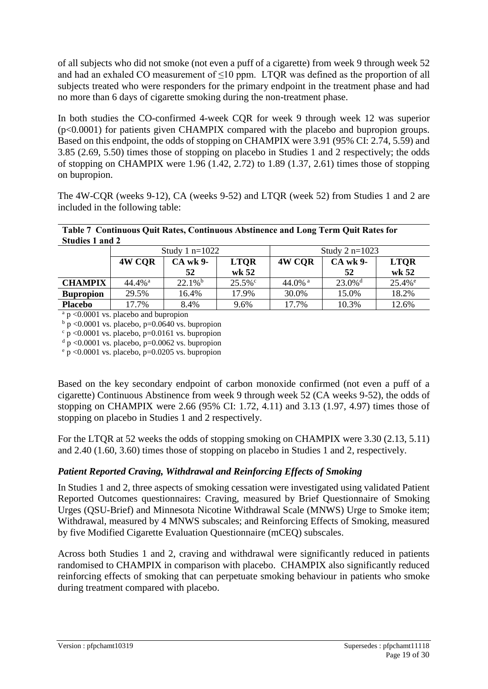of all subjects who did not smoke (not even a puff of a cigarette) from week 9 through week 52 and had an exhaled CO measurement of  $\leq 10$  ppm. LTQR was defined as the proportion of all subjects treated who were responders for the primary endpoint in the treatment phase and had no more than 6 days of cigarette smoking during the non-treatment phase.

In both studies the CO-confirmed 4-week CQR for week 9 through week 12 was superior (p<0.0001) for patients given CHAMPIX compared with the placebo and bupropion groups. Based on this endpoint, the odds of stopping on CHAMPIX were 3.91 (95% CI: 2.74, 5.59) and 3.85 (2.69, 5.50) times those of stopping on placebo in Studies 1 and 2 respectively; the odds of stopping on CHAMPIX were  $1.96$  (1.42, 2.72) to 1.89 (1.37, 2.61) times those of stopping on bupropion.

The 4W-CQR (weeks 9-12), CA (weeks 9-52) and LTQR (week 52) from Studies 1 and 2 are included in the following table:

|                 | Table 7 Continuous Quit Rates, Continuous Abstinence and Long Term Quit Rates for |  |  |
|-----------------|-----------------------------------------------------------------------------------|--|--|
| Studies 1 and 2 |                                                                                   |  |  |

|                  | Study 1 $n=1022$      |                       | Study 2 $n=1023$ |                  |                       |                      |
|------------------|-----------------------|-----------------------|------------------|------------------|-----------------------|----------------------|
|                  | 4W CQR                | <b>CA</b> wk 9-       | <b>LTOR</b>      | 4W COR           | <b>CA</b> wk 9-       | <b>LTOR</b>          |
|                  |                       | 52                    | wk $52$          |                  | 52                    | wk 52                |
| <b>CHAMPIX</b>   | $44.4\%$ <sup>a</sup> | $22.1\%$ <sup>b</sup> | $25.5\%$ °       | 44.0% $^{\rm a}$ | $23.0\%$ <sup>d</sup> | $25.4%$ <sup>e</sup> |
| <b>Bupropion</b> | 29.5%                 | 16.4%                 | 17.9%            | 30.0%            | 15.0%                 | 18.2%                |
| <b>Placebo</b>   | 17.7%                 | 8.4%                  | 9.6%             | 17.7%            | 10.3%                 | 12.6%                |

 $a$  p <0.0001 vs. placebo and bupropion

 $\frac{c}{p}$  <0.0001 vs. placebo, p=0.0161 vs. bupropion

 $d$  p <0.0001 vs. placebo, p=0.0062 vs. bupropion

 $e$  p <0.0001 vs. placebo, p=0.0205 vs. bupropion

Based on the key secondary endpoint of carbon monoxide confirmed (not even a puff of a cigarette) Continuous Abstinence from week 9 through week 52 (CA weeks 9-52), the odds of stopping on CHAMPIX were 2.66 (95% CI: 1.72, 4.11) and 3.13 (1.97, 4.97) times those of stopping on placebo in Studies 1 and 2 respectively.

For the LTQR at 52 weeks the odds of stopping smoking on CHAMPIX were 3.30 (2.13, 5.11) and 2.40 (1.60, 3.60) times those of stopping on placebo in Studies 1 and 2, respectively.

### *Patient Reported Craving, Withdrawal and Reinforcing Effects of Smoking*

In Studies 1 and 2, three aspects of smoking cessation were investigated using validated Patient Reported Outcomes questionnaires: Craving, measured by Brief Questionnaire of Smoking Urges (QSU-Brief) and Minnesota Nicotine Withdrawal Scale (MNWS) Urge to Smoke item; Withdrawal, measured by 4 MNWS subscales; and Reinforcing Effects of Smoking, measured by five Modified Cigarette Evaluation Questionnaire (mCEQ) subscales.

Across both Studies 1 and 2, craving and withdrawal were significantly reduced in patients randomised to CHAMPIX in comparison with placebo. CHAMPIX also significantly reduced reinforcing effects of smoking that can perpetuate smoking behaviour in patients who smoke during treatment compared with placebo.

 $\frac{b}{p}$   $\geq$  0.0001 vs. placebo, p=0.0640 vs. bupropion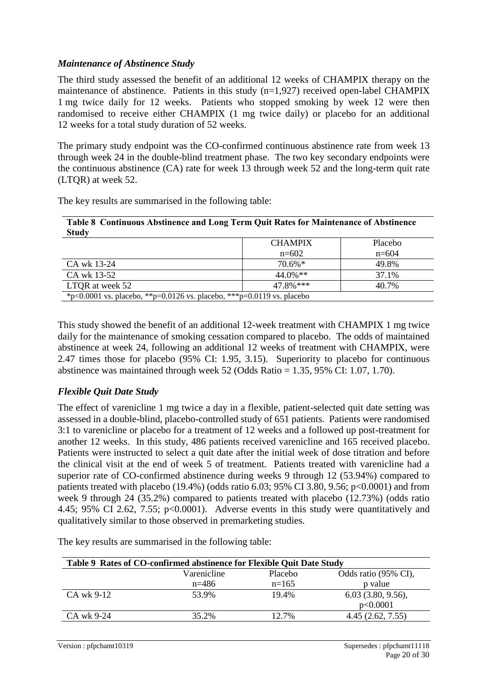### *Maintenance of Abstinence Study*

The third study assessed the benefit of an additional 12 weeks of CHAMPIX therapy on the maintenance of abstinence. Patients in this study (n=1,927) received open-label CHAMPIX 1 mg twice daily for 12 weeks. Patients who stopped smoking by week 12 were then randomised to receive either CHAMPIX (1 mg twice daily) or placebo for an additional 12 weeks for a total study duration of 52 weeks.

The primary study endpoint was the CO-confirmed continuous abstinence rate from week 13 through week 24 in the double-blind treatment phase. The two key secondary endpoints were the continuous abstinence (CA) rate for week 13 through week 52 and the long-term quit rate (LTQR) at week 52.

The key results are summarised in the following table:

| Table 8 Continuous Abstinence and Long Term Quit Rates for Maintenance of Abstinence |  |
|--------------------------------------------------------------------------------------|--|
| Study                                                                                |  |

|                 | <b>CHAMPIX</b>                                                         | Placebo |  |  |
|-----------------|------------------------------------------------------------------------|---------|--|--|
|                 | $n=602$                                                                | $n=604$ |  |  |
| CA wk 13-24     | $70.6\%*$                                                              | 49.8%   |  |  |
| CA wk 13-52     | $44.0\%$ **                                                            | 37.1%   |  |  |
| LTQR at week 52 | 47.8%***                                                               | 40.7%   |  |  |
|                 | *p<0.0001 vs. placebo, **p=0.0126 vs. placebo, ***p=0.0119 vs. placebo |         |  |  |

This study showed the benefit of an additional 12-week treatment with CHAMPIX 1 mg twice daily for the maintenance of smoking cessation compared to placebo. The odds of maintained abstinence at week 24, following an additional 12 weeks of treatment with CHAMPIX, were 2.47 times those for placebo (95% CI: 1.95, 3.15). Superiority to placebo for continuous abstinence was maintained through week 52 (Odds Ratio = 1.35, 95% CI: 1.07, 1.70).

### *Flexible Quit Date Study*

The effect of varenicline 1 mg twice a day in a flexible, patient-selected quit date setting was assessed in a double-blind, placebo-controlled study of 651 patients. Patients were randomised 3:1 to varenicline or placebo for a treatment of 12 weeks and a followed up post-treatment for another 12 weeks. In this study, 486 patients received varenicline and 165 received placebo. Patients were instructed to select a quit date after the initial week of dose titration and before the clinical visit at the end of week 5 of treatment. Patients treated with varenicline had a superior rate of CO-confirmed abstinence during weeks 9 through 12 (53.94%) compared to patients treated with placebo  $(19.4\%)$  (odds ratio 6.03; 95% CI 3.80, 9.56; p<0.0001) and from week 9 through 24 (35.2%) compared to patients treated with placebo (12.73%) (odds ratio 4.45; 95% CI 2.62, 7.55; p<0.0001). Adverse events in this study were quantitatively and qualitatively similar to those observed in premarketing studies.

**Table 9 Rates of CO-confirmed abstinence for Flexible Quit Date Study** Varenicline n=486 Placebo n=165 Odds ratio (95% CI), p value CA wk 9-12 53.9% 19.4% 6.03 (3.80, 9.56), p<0.0001 CA wk 9-24 35.2% 12.7% 4.45 (2.62, 7.55)

The key results are summarised in the following table: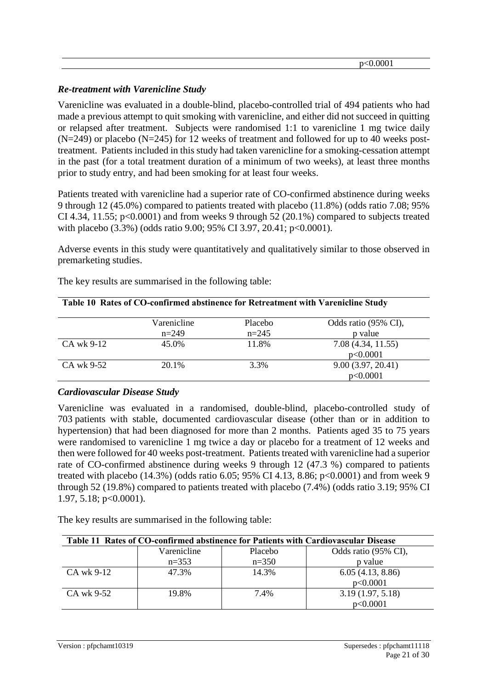### *Re-treatment with Varenicline Study*

Varenicline was evaluated in a double-blind, placebo-controlled trial of 494 patients who had made a previous attempt to quit smoking with varenicline, and either did not succeed in quitting or relapsed after treatment. Subjects were randomised 1:1 to varenicline 1 mg twice daily  $(N=249)$  or placebo  $(N=245)$  for 12 weeks of treatment and followed for up to 40 weeks posttreatment. Patients included in this study had taken varenicline for a smoking-cessation attempt in the past (for a total treatment duration of a minimum of two weeks), at least three months prior to study entry, and had been smoking for at least four weeks.

Patients treated with varenicline had a superior rate of CO-confirmed abstinence during weeks 9 through 12 (45.0%) compared to patients treated with placebo (11.8%) (odds ratio 7.08; 95% CI 4.34, 11.55;  $p<0.0001$ ) and from weeks 9 through 52 (20.1%) compared to subjects treated with placebo (3.3%) (odds ratio 9.00; 95% CI 3.97, 20.41; p<0.0001).

Adverse events in this study were quantitatively and qualitatively similar to those observed in premarketing studies.

|            | Varenicline | Placebo | Odds ratio (95% CI), |
|------------|-------------|---------|----------------------|
|            | $n=249$     | $n=245$ | p value              |
| CA wk 9-12 | 45.0%       | 11.8%   | 7.08(4.34, 11.55)    |
|            |             |         | p<0.0001             |
| CA wk 9-52 | 20.1%       | 3.3%    | 9.00(3.97, 20.41)    |
|            |             |         | p<0.0001             |

**Table 10 Rates of CO-confirmed abstinence for Retreatment with Varenicline Study**

The key results are summarised in the following table:

### *Cardiovascular Disease Study*

Varenicline was evaluated in a randomised, double-blind, placebo-controlled study of 703 patients with stable, documented cardiovascular disease (other than or in addition to hypertension) that had been diagnosed for more than 2 months. Patients aged 35 to 75 years were randomised to varenicline 1 mg twice a day or placebo for a treatment of 12 weeks and then were followed for 40 weeks post-treatment. Patients treated with varenicline had a superior rate of CO-confirmed abstinence during weeks 9 through 12 (47.3 %) compared to patients treated with placebo (14.3%) (odds ratio 6.05; 95% CI 4.13, 8.86; p<0.0001) and from week 9 through 52 (19.8%) compared to patients treated with placebo (7.4%) (odds ratio 3.19; 95% CI 1.97, 5.18; p<0.0001).

The key results are summarised in the following table:

| Table 11 Rates of CO-confirmed abstinence for Patients with Cardiovascular Disease |             |         |                      |  |
|------------------------------------------------------------------------------------|-------------|---------|----------------------|--|
|                                                                                    | Varenicline | Placebo | Odds ratio (95% CI), |  |
|                                                                                    | $n=353$     | $n=350$ | p value              |  |
| CA wk 9-12                                                                         | 47.3%       | 14.3%   | 6.05(4.13, 8.86)     |  |
|                                                                                    |             |         | p<0.0001             |  |
| CA wk 9-52                                                                         | 19.8%       | 7.4%    | 3.19(1.97, 5.18)     |  |
|                                                                                    |             |         | p<0.0001             |  |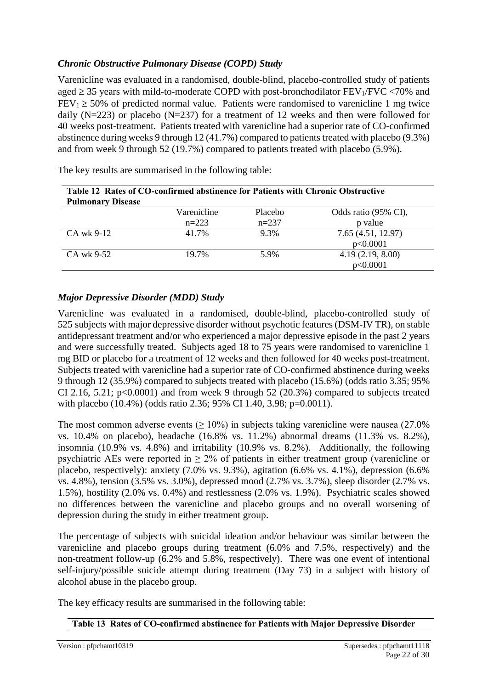### *Chronic Obstructive Pulmonary Disease (COPD) Study*

Varenicline was evaluated in a randomised, double-blind, placebo-controlled study of patients aged  $\geq$  35 years with mild-to-moderate COPD with post-bronchodilator FEV<sub>1</sub>/FVC <70% and  $FEV_1 \ge 50\%$  of predicted normal value. Patients were randomised to varenicline 1 mg twice daily (N=223) or placebo (N=237) for a treatment of 12 weeks and then were followed for 40 weeks post-treatment. Patients treated with varenicline had a superior rate of CO-confirmed abstinence during weeks 9 through 12 (41.7%) compared to patients treated with placebo (9.3%) and from week 9 through 52 (19.7%) compared to patients treated with placebo (5.9%).

| Table 12 Rates of CO-confirmed abstinence for Patients with Chronic Obstructive |             |         |                      |  |
|---------------------------------------------------------------------------------|-------------|---------|----------------------|--|
| <b>Pulmonary Disease</b>                                                        |             |         |                      |  |
|                                                                                 | Varenicline | Placebo | Odds ratio (95% CI), |  |
|                                                                                 | $n=223$     | $n=237$ | p value              |  |
| CA wk 9-12                                                                      | 41.7%       | 9.3%    | 7.65(4.51, 12.97)    |  |
|                                                                                 |             |         | p<0.0001             |  |
| CA wk 9-52                                                                      | 19.7%       | 5.9%    | 4.19(2.19, 8.00)     |  |
|                                                                                 |             |         | p<0.0001             |  |

The key results are summarised in the following table:

### *Major Depressive Disorder (MDD) Study*

Varenicline was evaluated in a randomised, double-blind, placebo-controlled study of 525 subjects with major depressive disorder without psychotic features (DSM-IV TR), on stable antidepressant treatment and/or who experienced a major depressive episode in the past 2 years and were successfully treated. Subjects aged 18 to 75 years were randomised to varenicline 1 mg BID or placebo for a treatment of 12 weeks and then followed for 40 weeks post-treatment. Subjects treated with varenicline had a superior rate of CO-confirmed abstinence during weeks 9 through 12 (35.9%) compared to subjects treated with placebo (15.6%) (odds ratio 3.35; 95% CI 2.16, 5.21;  $p<0.0001$ ) and from week 9 through 52 (20.3%) compared to subjects treated with placebo (10.4%) (odds ratio 2.36; 95% CI 1.40, 3.98; p=0.0011).

The most common adverse events ( $\geq 10\%$ ) in subjects taking varenicline were nausea (27.0%) vs. 10.4% on placebo), headache (16.8% vs. 11.2%) abnormal dreams (11.3% vs. 8.2%), insomnia (10.9% vs. 4.8%) and irritability (10.9% vs. 8.2%). Additionally, the following psychiatric AEs were reported in  $\geq 2\%$  of patients in either treatment group (varenicline or placebo, respectively): anxiety (7.0% vs. 9.3%), agitation (6.6% vs. 4.1%), depression (6.6% vs. 4.8%), tension (3.5% vs. 3.0%), depressed mood (2.7% vs. 3.7%), sleep disorder (2.7% vs. 1.5%), hostility (2.0% vs. 0.4%) and restlessness (2.0% vs. 1.9%). Psychiatric scales showed no differences between the varenicline and placebo groups and no overall worsening of depression during the study in either treatment group.

The percentage of subjects with suicidal ideation and/or behaviour was similar between the varenicline and placebo groups during treatment (6.0% and 7.5%, respectively) and the non-treatment follow-up (6.2% and 5.8%, respectively). There was one event of intentional self-injury/possible suicide attempt during treatment (Day 73) in a subject with history of alcohol abuse in the placebo group.

The key efficacy results are summarised in the following table:

### **Table 13 Rates of CO-confirmed abstinence for Patients with Major Depressive Disorder**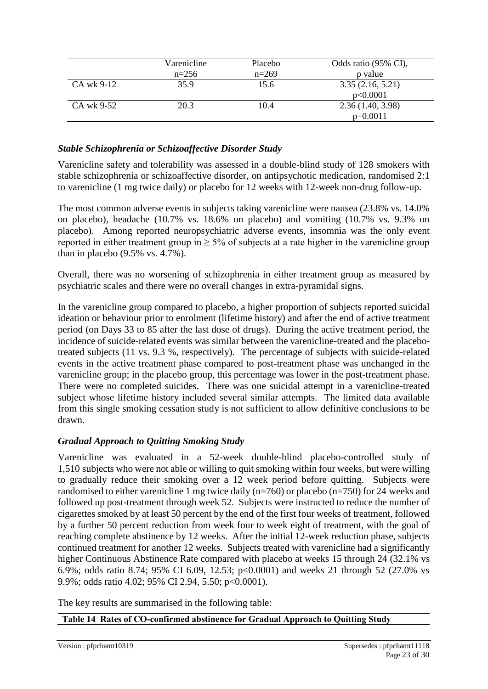|            | Varenicline | Placebo | Odds ratio (95% CI), |
|------------|-------------|---------|----------------------|
|            | $n=256$     | $n=269$ | p value              |
| CA wk 9-12 | 35.9        | 15.6    | 3.35(2.16, 5.21)     |
|            |             |         | p<0.0001             |
| CA wk 9-52 | 20.3        | 10.4    | 2.36(1.40, 3.98)     |
|            |             |         | $p=0.0011$           |

### *Stable Schizophrenia or Schizoaffective Disorder Study*

Varenicline safety and tolerability was assessed in a double-blind study of 128 smokers with stable schizophrenia or schizoaffective disorder, on antipsychotic medication, randomised 2:1 to varenicline (1 mg twice daily) or placebo for 12 weeks with 12-week non-drug follow-up.

The most common adverse events in subjects taking varenicline were nausea (23.8% vs. 14.0% on placebo), headache (10.7% vs. 18.6% on placebo) and vomiting (10.7% vs. 9.3% on placebo). Among reported neuropsychiatric adverse events, insomnia was the only event reported in either treatment group in  $\geq$  5% of subjects at a rate higher in the varenicline group than in placebo (9.5% vs. 4.7%).

Overall, there was no worsening of schizophrenia in either treatment group as measured by psychiatric scales and there were no overall changes in extra-pyramidal signs.

In the varenicline group compared to placebo, a higher proportion of subjects reported suicidal ideation or behaviour prior to enrolment (lifetime history) and after the end of active treatment period (on Days 33 to 85 after the last dose of drugs). During the active treatment period, the incidence of suicide-related events was similar between the varenicline-treated and the placebotreated subjects (11 vs. 9.3 %, respectively). The percentage of subjects with suicide-related events in the active treatment phase compared to post-treatment phase was unchanged in the varenicline group; in the placebo group, this percentage was lower in the post-treatment phase. There were no completed suicides. There was one suicidal attempt in a varenicline-treated subject whose lifetime history included several similar attempts. The limited data available from this single smoking cessation study is not sufficient to allow definitive conclusions to be drawn.

#### *Gradual Approach to Quitting Smoking Study*

Varenicline was evaluated in a 52-week double-blind placebo-controlled study of 1,510 subjects who were not able or willing to quit smoking within four weeks, but were willing to gradually reduce their smoking over a 12 week period before quitting. Subjects were randomised to either varenicline 1 mg twice daily (n=760) or placebo (n=750) for 24 weeks and followed up post-treatment through week 52. Subjects were instructed to reduce the number of cigarettes smoked by at least 50 percent by the end of the first four weeks of treatment, followed by a further 50 percent reduction from week four to week eight of treatment, with the goal of reaching complete abstinence by 12 weeks. After the initial 12-week reduction phase, subjects continued treatment for another 12 weeks. Subjects treated with varenicline had a significantly higher Continuous Abstinence Rate compared with placebo at weeks 15 through 24 (32.1% vs 6.9%; odds ratio 8.74; 95% CI 6.09, 12.53; p<0.0001) and weeks 21 through 52 (27.0% vs 9.9%; odds ratio 4.02; 95% CI 2.94, 5.50; p<0.0001).

The key results are summarised in the following table:

**Table 14 Rates of CO-confirmed abstinence for Gradual Approach to Quitting Study**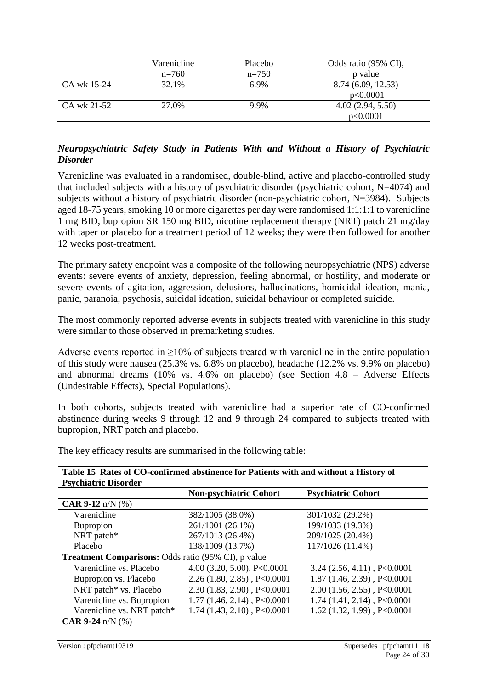|             | Varenicline | Placebo | Odds ratio (95% CI), |
|-------------|-------------|---------|----------------------|
|             | $n=760$     | $n=750$ | p value              |
| CA wk 15-24 | 32.1%       | 6.9%    | 8.74 (6.09, 12.53)   |
|             |             |         | p<0.0001             |
| CA wk 21-52 | 27.0%       | 9.9%    | 4.02(2.94, 5.50)     |
|             |             |         | p<0.0001             |

### *Neuropsychiatric Safety Study in Patients With and Without a History of Psychiatric Disorder*

Varenicline was evaluated in a randomised, double-blind, active and placebo-controlled study that included subjects with a history of psychiatric disorder (psychiatric cohort, N=4074) and subjects without a history of psychiatric disorder (non-psychiatric cohort, N=3984). Subjects aged 18-75 years, smoking 10 or more cigarettes per day were randomised 1:1:1:1 to varenicline 1 mg BID, bupropion SR 150 mg BID, nicotine replacement therapy (NRT) patch 21 mg/day with taper or placebo for a treatment period of 12 weeks; they were then followed for another 12 weeks post-treatment.

The primary safety endpoint was a composite of the following neuropsychiatric (NPS) adverse events: severe events of anxiety, depression, feeling abnormal, or hostility, and moderate or severe events of agitation, aggression, delusions, hallucinations, homicidal ideation, mania, panic, paranoia, psychosis, suicidal ideation, suicidal behaviour or completed suicide.

The most commonly reported adverse events in subjects treated with varenicline in this study were similar to those observed in premarketing studies.

Adverse events reported in  $\geq$ 10% of subjects treated with varenicline in the entire population of this study were nausea (25.3% vs. 6.8% on placebo), headache (12.2% vs. 9.9% on placebo) and abnormal dreams (10% vs. 4.6% on placebo) (see Section 4.8 – Adverse Effects (Undesirable Effects), Special Populations).

In both cohorts, subjects treated with varenicline had a superior rate of CO-confirmed abstinence during weeks 9 through 12 and 9 through 24 compared to subjects treated with bupropion, NRT patch and placebo.

The key efficacy results are summarised in the following table:

| <b>Psychiatric Disorder</b>                                |                                  |                                  |
|------------------------------------------------------------|----------------------------------|----------------------------------|
|                                                            | <b>Non-psychiatric Cohort</b>    | <b>Psychiatric Cohort</b>        |
| <b>CAR 9-12</b> n/N $(\%)$                                 |                                  |                                  |
| Varenicline                                                | 382/1005 (38.0%)                 | 301/1032 (29.2%)                 |
| Bupropion                                                  | 261/1001 (26.1%)                 | 199/1033 (19.3%)                 |
| NRT patch*                                                 | 267/1013 (26.4%)                 | 209/1025 (20.4%)                 |
| Placebo                                                    | 138/1009 (13.7%)                 | 117/1026 (11.4%)                 |
| <b>Treatment Comparisons: Odds ratio (95% CI), p value</b> |                                  |                                  |
| Varenicline vs. Placebo                                    | 4.00 (3.20, 5.00), $P<0.0001$    | $3.24$ (2.56, 4.11), P<0.0001    |
| Bupropion vs. Placebo                                      | $2.26(1.80, 2.85)$ , P<0.0001    | $1.87$ (1.46, 2.39), P<0.0001    |
| NRT patch* vs. Placebo                                     | $2.30(1.83, 2.90)$ , P<0.0001    | $2.00$ $(1.56, 2.55)$ , P<0.0001 |
| Varenicline vs. Bupropion                                  | $1.77(1.46, 2.14)$ , P<0.0001    | $1.74$ $(1.41, 2.14)$ , P<0.0001 |
| Varenicline vs. NRT patch*                                 | $1.74$ $(1.43, 2.10)$ , P<0.0001 | $1.62$ (1.32, 1.99), P<0.0001    |
| <b>CAR 9-24</b> $n/N$ (%)                                  |                                  |                                  |

**Table 15 Rates of CO-confirmed abstinence for Patients with and without a History of**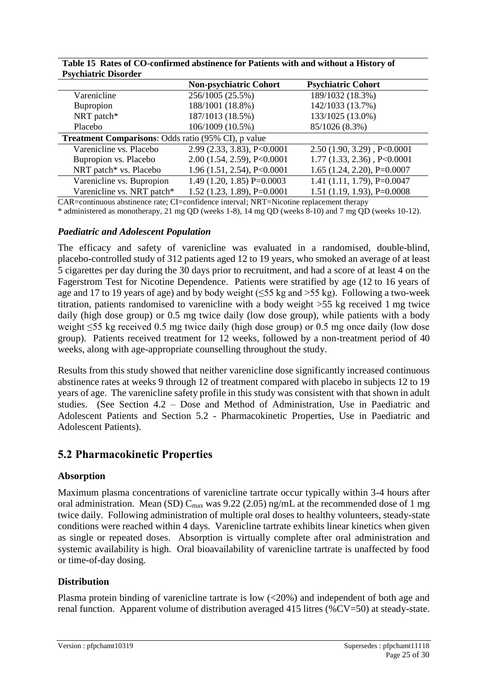|                                                            | <b>Non-psychiatric Cohort</b> | <b>Psychiatric Cohort</b>        |
|------------------------------------------------------------|-------------------------------|----------------------------------|
| Varenicline                                                | 256/1005 (25.5%)              | 189/1032 (18.3%)                 |
| Bupropion                                                  | 188/1001 (18.8%)              | 142/1033 (13.7%)                 |
| NRT patch*                                                 | 187/1013 (18.5%)              | 133/1025 (13.0%)                 |
| Placebo                                                    | 106/1009 (10.5%)              | 85/1026 (8.3%)                   |
| <b>Treatment Comparisons: Odds ratio (95% CI), p value</b> |                               |                                  |
| Varenicline vs. Placebo                                    | 2.99 (2.33, 3.83), P<0.0001   | $2.50(1.90, 3.29)$ , P<0.0001    |
| Bupropion vs. Placebo                                      | 2.00(1.54, 2.59), P<0.0001    | $1.77$ $(1.33, 2.36)$ , P<0.0001 |
| NRT patch* vs. Placebo                                     | 1.96(1.51, 2.54), P<0.0001    | $1.65$ $(1.24, 2.20)$ , P=0.0007 |
| Varenicline vs. Bupropion                                  | $1.49(1.20, 1.85) P=0.0003$   | 1.41 $(1.11, 1.79)$ , P=0.0047   |
| Varenicline vs. NRT patch*                                 | $1.52$ (1.23, 1.89), P=0.0001 | $1.51$ (1.19, 1.93), P=0.0008    |

**Table 15 Rates of CO-confirmed abstinence for Patients with and without a History of Psychiatric Disorder**

CAR=continuous abstinence rate; CI=confidence interval; NRT=Nicotine replacement therapy

\* administered as monotherapy, 21 mg QD (weeks 1-8), 14 mg QD (weeks 8-10) and 7 mg QD (weeks 10-12).

#### *Paediatric and Adolescent Population*

The efficacy and safety of varenicline was evaluated in a randomised, double-blind, placebo-controlled study of 312 patients aged 12 to 19 years, who smoked an average of at least 5 cigarettes per day during the 30 days prior to recruitment, and had a score of at least 4 on the Fagerstrom Test for Nicotine Dependence. Patients were stratified by age (12 to 16 years of age and 17 to 19 years of age) and by body weight ( $\leq$ 55 kg and  $>$ 55 kg). Following a two-week titration, patients randomised to varenicline with a body weight >55 kg received 1 mg twice daily (high dose group) or 0.5 mg twice daily (low dose group), while patients with a body weight ≤55 kg received 0.5 mg twice daily (high dose group) or 0.5 mg once daily (low dose group). Patients received treatment for 12 weeks, followed by a non-treatment period of 40 weeks, along with age-appropriate counselling throughout the study.

Results from this study showed that neither varenicline dose significantly increased continuous abstinence rates at weeks 9 through 12 of treatment compared with placebo in subjects 12 to 19 years of age. The varenicline safety profile in this study was consistent with that shown in adult studies. (See Section 4.2 – Dose and Method of Administration, Use in Paediatric and Adolescent Patients and Section 5.2 - Pharmacokinetic Properties, Use in Paediatric and Adolescent Patients).

### **5.2 Pharmacokinetic Properties**

#### **Absorption**

Maximum plasma concentrations of varenicline tartrate occur typically within 3-4 hours after oral administration. Mean (SD)  $C_{\text{max}}$  was 9.22 (2.05) ng/mL at the recommended dose of 1 mg twice daily. Following administration of multiple oral doses to healthy volunteers, steady-state conditions were reached within 4 days. Varenicline tartrate exhibits linear kinetics when given as single or repeated doses. Absorption is virtually complete after oral administration and systemic availability is high. Oral bioavailability of varenicline tartrate is unaffected by food or time-of-day dosing.

### **Distribution**

Plasma protein binding of varenicline tartrate is low (<20%) and independent of both age and renal function. Apparent volume of distribution averaged 415 litres (%CV=50) at steady-state.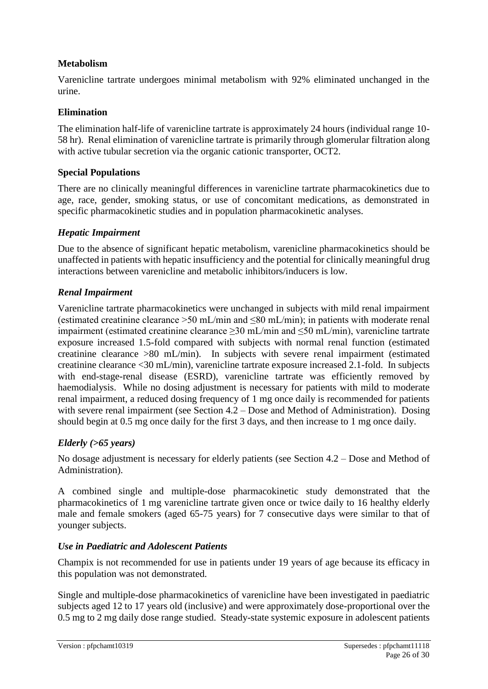### **Metabolism**

Varenicline tartrate undergoes minimal metabolism with 92% eliminated unchanged in the urine.

### **Elimination**

The elimination half-life of varenicline tartrate is approximately 24 hours (individual range 10- 58 hr). Renal elimination of varenicline tartrate is primarily through glomerular filtration along with active tubular secretion via the organic cationic transporter, OCT2.

### **Special Populations**

There are no clinically meaningful differences in varenicline tartrate pharmacokinetics due to age, race, gender, smoking status, or use of concomitant medications, as demonstrated in specific pharmacokinetic studies and in population pharmacokinetic analyses.

### *Hepatic Impairment*

Due to the absence of significant hepatic metabolism, varenicline pharmacokinetics should be unaffected in patients with hepatic insufficiency and the potential for clinically meaningful drug interactions between varenicline and metabolic inhibitors/inducers is low.

### *Renal Impairment*

Varenicline tartrate pharmacokinetics were unchanged in subjects with mild renal impairment (estimated creatinine clearance >50 mL/min and ≤80 mL/min); in patients with moderate renal impairment (estimated creatinine clearance ≥30 mL/min and ≤50 mL/min), varenicline tartrate exposure increased 1.5-fold compared with subjects with normal renal function (estimated creatinine clearance >80 mL/min). In subjects with severe renal impairment (estimated creatinine clearance <30 mL/min), varenicline tartrate exposure increased 2.1-fold. In subjects with end-stage-renal disease (ESRD), varenicline tartrate was efficiently removed by haemodialysis. While no dosing adjustment is necessary for patients with mild to moderate renal impairment, a reduced dosing frequency of 1 mg once daily is recommended for patients with severe renal impairment (see Section 4.2 – Dose and Method of Administration). Dosing should begin at 0.5 mg once daily for the first 3 days, and then increase to 1 mg once daily.

### *Elderly (>65 years)*

No dosage adjustment is necessary for elderly patients (see Section 4.2 – Dose and Method of Administration).

A combined single and multiple-dose pharmacokinetic study demonstrated that the pharmacokinetics of 1 mg varenicline tartrate given once or twice daily to 16 healthy elderly male and female smokers (aged 65-75 years) for 7 consecutive days were similar to that of younger subjects.

### *Use in Paediatric and Adolescent Patients*

Champix is not recommended for use in patients under 19 years of age because its efficacy in this population was not demonstrated.

Single and multiple-dose pharmacokinetics of varenicline have been investigated in paediatric subjects aged 12 to 17 years old (inclusive) and were approximately dose-proportional over the 0.5 mg to 2 mg daily dose range studied. Steady-state systemic exposure in adolescent patients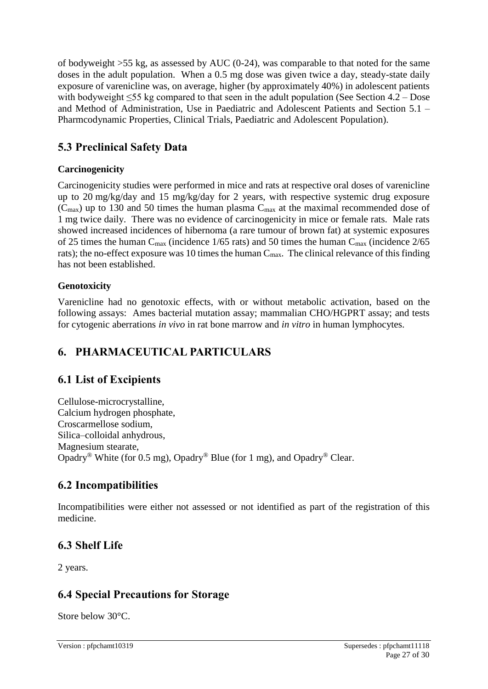of bodyweight  $>55$  kg, as assessed by AUC (0-24), was comparable to that noted for the same doses in the adult population. When a 0.5 mg dose was given twice a day, steady-state daily exposure of varenicline was, on average, higher (by approximately 40%) in adolescent patients with bodyweight ≤55 kg compared to that seen in the adult population (See Section 4.2 – Dose and Method of Administration, Use in Paediatric and Adolescent Patients and Section 5.1 – Pharmcodynamic Properties, Clinical Trials, Paediatric and Adolescent Population).

# **5.3 Preclinical Safety Data**

## **Carcinogenicity**

Carcinogenicity studies were performed in mice and rats at respective oral doses of varenicline up to 20 mg/kg/day and 15 mg/kg/day for 2 years, with respective systemic drug exposure  $(C_{\text{max}})$  up to 130 and 50 times the human plasma  $C_{\text{max}}$  at the maximal recommended dose of 1 mg twice daily. There was no evidence of carcinogenicity in mice or female rats. Male rats showed increased incidences of hibernoma (a rare tumour of brown fat) at systemic exposures of 25 times the human  $C_{\text{max}}$  (incidence 1/65 rats) and 50 times the human  $C_{\text{max}}$  (incidence 2/65 rats); the no-effect exposure was 10 times the human  $C_{\text{max}}$ . The clinical relevance of this finding has not been established.

## **Genotoxicity**

Varenicline had no genotoxic effects, with or without metabolic activation, based on the following assays: Ames bacterial mutation assay; mammalian CHO/HGPRT assay; and tests for cytogenic aberrations *in vivo* in rat bone marrow and *in vitro* in human lymphocytes.

# **6. PHARMACEUTICAL PARTICULARS**

# **6.1 List of Excipients**

Cellulose-microcrystalline, Calcium hydrogen phosphate, Croscarmellose sodium, Silica–colloidal anhydrous, Magnesium stearate, Opadry® White (for 0.5 mg), Opadry® Blue (for 1 mg), and Opadry® Clear.

# **6.2 Incompatibilities**

Incompatibilities were either not assessed or not identified as part of the registration of this medicine.

# **6.3 Shelf Life**

2 years.

# **6.4 Special Precautions for Storage**

Store below 30°C.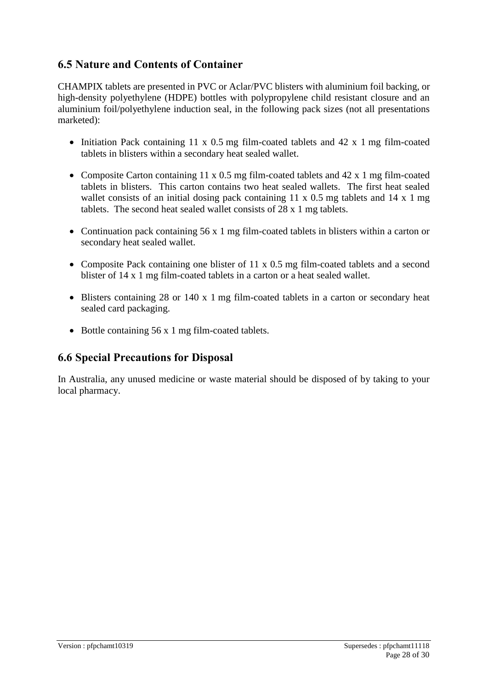## **6.5 Nature and Contents of Container**

CHAMPIX tablets are presented in PVC or Aclar/PVC blisters with aluminium foil backing, or high-density polyethylene (HDPE) bottles with polypropylene child resistant closure and an aluminium foil/polyethylene induction seal, in the following pack sizes (not all presentations marketed):

- Initiation Pack containing 11 x 0.5 mg film-coated tablets and 42 x 1 mg film-coated tablets in blisters within a secondary heat sealed wallet.
- Composite Carton containing 11 x 0.5 mg film-coated tablets and 42 x 1 mg film-coated tablets in blisters. This carton contains two heat sealed wallets. The first heat sealed wallet consists of an initial dosing pack containing 11 x 0.5 mg tablets and 14 x 1 mg tablets. The second heat sealed wallet consists of 28 x 1 mg tablets.
- Continuation pack containing 56 x 1 mg film-coated tablets in blisters within a carton or secondary heat sealed wallet.
- Composite Pack containing one blister of 11 x 0.5 mg film-coated tablets and a second blister of 14 x 1 mg film-coated tablets in a carton or a heat sealed wallet.
- Blisters containing 28 or 140 x 1 mg film-coated tablets in a carton or secondary heat sealed card packaging.
- Bottle containing 56 x 1 mg film-coated tablets.

### **6.6 Special Precautions for Disposal**

In Australia, any unused medicine or waste material should be disposed of by taking to your local pharmacy.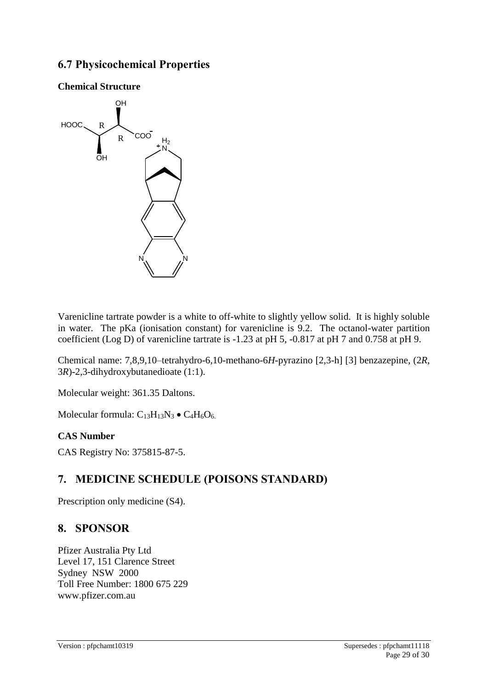## **6.7 Physicochemical Properties**



**Chemical Structure**

Varenicline tartrate powder is a white to off-white to slightly yellow solid. It is highly soluble in water. The pKa (ionisation constant) for varenicline is 9.2. The octanol-water partition coefficient (Log D) of varenicline tartrate is -1.23 at pH 5, -0.817 at pH 7 and 0.758 at pH 9.

Chemical name: 7,8,9,10–tetrahydro-6,10-methano-6*H*-pyrazino [2,3-h] [3] benzazepine, (2*R*, 3*R*)-2,3-dihydroxybutanedioate (1:1).

Molecular weight: 361.35 Daltons.

Molecular formula:  $C_{13}H_{13}N_3 \bullet C_4H_6O_6$ .

#### **CAS Number**

CAS Registry No: 375815-87-5.

## **7. MEDICINE SCHEDULE (POISONS STANDARD)**

Prescription only medicine (S4).

### **8. SPONSOR**

Pfizer Australia Pty Ltd Level 17, 151 Clarence Street Sydney NSW 2000 Toll Free Number: 1800 675 229 [www.pfizer.com.au](http://www.pfizer.com.au/)